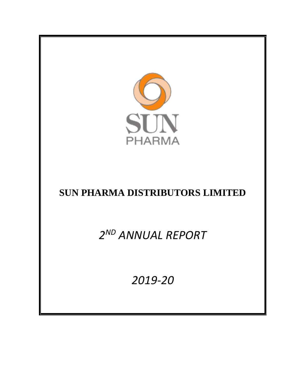

# **SUN PHARMA DISTRIBUTORS LIMITED**

*2 ND ANNUAL REPORT* 

*2019-20*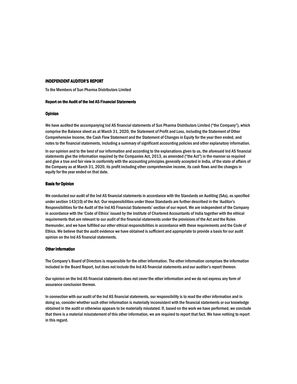#### INDEPENDENT AUDITOR'S REPORT

To the Members of Sun Pharma Distributors Limited

#### Report on the Audit of the Ind AS Financial Statements

#### **Opinion**

We have audited the accompanying Ind AS financial statements of Sun Pharma Distributors Limited ("the Company"), which comprise the Balance sheet as at March 31, 2020, the Statement of Profit and Loss, including the Statement of Other Comprehensive Income, the Cash Flow Statement and the Statement of Changes in Equity for the year then ended, and notes to the financial statements, including a summary of significant accounting policies and other explanatory information.

In our opinion and to the best of our information and according to the explanations given to us, the aforesaid Ind AS financial statements give the information required by the Companies Act, 2013, as amended ("the Act") in the manner so required and give a true and fair view in conformity with the accounting principles generally accepted in India, of the state of affairs of the Company as at March 31, 2020, its profit including other comprehensive income, its cash flows and the changes in equity for the year ended on that date.

#### **Basis for Opinion**

We conducted our audit of the Ind AS financial statements in accordance with the Standards on Auditing (SAs), as specified under section 143(10) of the Act. Our responsibilities under those Standards are further described in the 'Auditor's Responsibilities for the Audit of the Ind AS Financial Statements'section of our report. We are independent of the Company in accordance with the 'Code of Ethics' issued by the Institute of Chartered Accountants of India together with the ethical requirements that are relevant to our audit of the financial statements under the provisions of the Act and the Rules thereunder, and we have fulfilled our other ethical responsibilities in accordance with these requirements and the Code of Ethics. We believe that the audit evidence we have obtained is sufficient and appropriate to provide a basis for our audit opinion on the Ind AS financial statements.

#### **Other Information**

The Company's Board of Directors is responsible for the other information. The other information comprises the information included in the Board Report, but does not include the Ind AS financial statements and our auditor's report thereon.

Our opinion on the Ind AS financial statements does not cover the other information and we do not express any form of assurance conclusion thereon.

In connection with our audit of the Ind AS financial statements, our responsibility is to read the other information and in doing so, consider whether such other information is materially inconsistent with the financial statements or our knowledge obtained in the audit or otherwise appears to be materially misstated. If, based on the work we have performed, we conclude that there is a material misstatement of this other information, we are required to report that fact. We have nothing to report in this regard.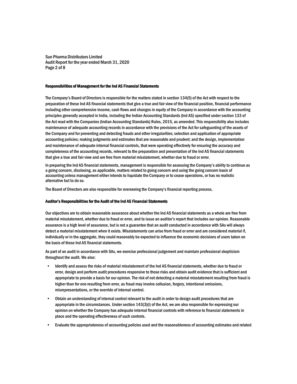Sun Pharma Distributors Limited Audit Report for the year ended March 31, 2020 Page 2 of 8

#### Responsibilities of Management for the Ind AS Financial Statements

The Company's Board of Directors is responsible for the matters stated in section 134(5) of the Act with respect to the preparation of these Ind AS financial statements that give a true and fair view of the financial position, financial performance including other comprehensive income, cash flows and changes in equity of the Company in accordance with the accounting principles generally accepted in India, including the Indian Accounting Standards (Ind AS) specified under section 133 of the Act read with the Companies (Indian Accounting Standards) Rules, 2015, as amended. This responsibility also includes maintenance of adequate accounting records in accordance with the provisions of the Act for safeguarding of the assets of the Company and for preventing and detecting frauds and other irregularities; selection and application of appropriate accounting policies; making judgments and estimates that are reasonable and prudent; and the design, implementation and maintenance of adequate internal financial controls, that were operating effectively for ensuring the accuracy and completeness of the accounting records, relevant to the preparation and presentation of the Ind AS financial statements that give a true and fair view and are free from material misstatement, whether due to fraud or error.

In preparing the Ind AS financial statements, management is responsible for assessing the Company's ability to continue as a going concern, disclosing, as applicable, matters related to going concern and using the going concern basis of accounting unless management either intends to liquidate the Company or to cease operations, or has no realistic alternative but to do so.

The Board of Directors are also responsible for overseeing the Company's financial reporting process.

#### Auditor's Responsibilities for the Audit of the Ind AS Financial Statements

Our objectives are to obtain reasonable assurance about whether the Ind AS financial statements as a whole are free from material misstatement, whether due to fraud or error, and to issue an auditor's report that includes our opinion. Reasonable assurance is a high level of assurance, but is not a guarantee that an audit conducted in accordance with SAs will always detect a material misstatement when it exists. Misstatements can arise from fraud or error and are considered material if, individually or in the aggregate, they could reasonably be expected to influence the economic decisions of users taken on the basis of these Ind AS financial statements.

As part of an audit in accordance with SAs, we exercise professional judgement and maintain professional skepticism throughout the audit. We also:

- Identify and assess the risks of material misstatement of the Ind AS financial statements, whether due to fraud or error, design and perform audit procedures responsive to those risks and obtain audit evidence that is sufficient and appropriate to provide a basis for our opinion. The risk of not detecting a material misstatement resulting from fraud is higher than for one resulting from error, as fraud may involve collusion, forgery, intentional omissions, misrepresentations, or the override of internal control.
- Obtain an understanding of internal control relevant to the audit in order to design audit procedures that are appropriate in the circumstances. Under section 143(3)(i) of the Act, we are also responsible for expressing our opinion on whether the Company has adequate internal financial controls with reference to financial statements in place and the operating effectiveness of such controls.
- Evaluate the appropriateness of accounting policies used and the reasonableness of accounting estimates and related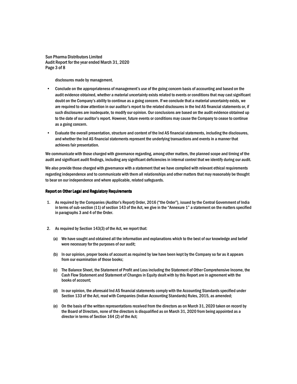Sun Pharma Distributors Limited Audit Report for the year ended March 31, 2020 Page 3 of 8

disclosures made by management.

- Conclude on the appropriateness of management's use of the going concern basis of accounting and based on the audit evidence obtained, whether a material uncertainty exists related to events or conditions that may cast significant doubt on the Company's ability to continue as a going concern. If we conclude that a material uncertainty exists, we are required to draw attention in our auditor's report to the related disclosures in the Ind AS financial statements or, if such disclosures are inadequate, to modify our opinion. Our conclusions are based on the audit evidence obtained up to the date of our auditor's report. However, future events or conditions may cause the Company to cease to continue as a going concern.
- Evaluate the overall presentation, structure and content of the Ind AS financial statements, including the disclosures, and whether the Ind AS financial statements represent the underlying transactions and events in a manner that achieves fair presentation.

We communicate with those charged with governance regarding, among other matters, the planned scope and timing of the audit and significant audit findings, including any significant deficiencies in internal control that we identify during our audit.

We also provide those charged with governance with a statement that we have complied with relevant ethical requirements regarding independence and to communicate with them all relationships and other matters that may reasonably be thought to bear on our independence and where applicable, related safeguards.

#### Report on Other Legal and Regulatory Requirements

- 1. As required by the Companies (Auditor's Report) Order, 2016 ("the Order"), issued by the Central Government of India in terms of sub-section (11) of section 143 of the Act, we give in the "Annexure 1" a statement on the matters specified in paragraphs 3 and 4 of the Order.
- 2. As required by Section 143(3) of the Act, we report that:
	- (a) We have sought and obtained all the information and explanations which to the best of our knowledge and belief were necessary for the purposes of our audit;
	- (b) In our opinion, proper books of account as required by law have been kept by the Company so far as it appears from our examination of those books;
	- (c) The Balance Sheet, the Statement of Profit and Loss including the Statement of Other Comprehensive Income, the Cash Flow Statement and Statement of Changes in Equity dealt with by this Report are in agreement with the books of account;
	- (d) In our opinion, the aforesaid Ind AS financial statements comply with the Accounting Standards specified under Section 133 of the Act, read with Companies (Indian Accounting Standards) Rules, 2015, as amended;
	- (e) On the basis of the written representations received from the directors as on March 31, 2020 taken on record by the Board of Directors, none of the directors is disqualified as on March 31, 2020 from being appointed as a director in terms of Section 164 (2) of the Act;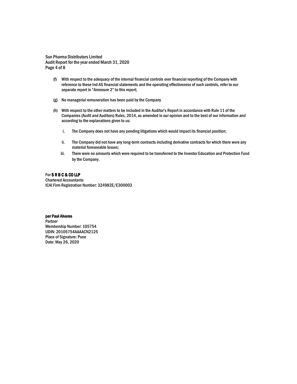Sun Pharma Distributors Limited Audit Report for the year ended March 31, 2020 Page 4 of 8

- (f) With respect to the adequacy of the internal financial controls over financial reporting of the Company with reference to these Ind AS financial statements and the operating effectiveness of such controls, refer to our separate report in "Annexure 2" to this report;
- (g) No managerial remuneration has been paid by the Company
- (h) With respect to the other matters to be included in the Auditor's Report in accordance with Rule 11 of the Companies (Audit and Auditors) Rules, 2014, as amended in our opinion and to the best of our information and according to the explanations given to us:
	- i. The Company does not have any pending litigations which would impact its financial position;
	- ii. The Company did not have any long-term contracts including derivative contracts for which there were any material foreseeable losses;
	- iii. There were no amounts which were required to be transferred to the Investor Education and Protection Fund by the Company.

For S R B C & CO LLP Chartered Accountants ICAI Firm Registration Number: 324982E/E300003

per Paul Alvares Partner Membership Number: 105754 UDIN: 20105754AAAACN2125 Place of Signature: Pune Date: May 26, 2020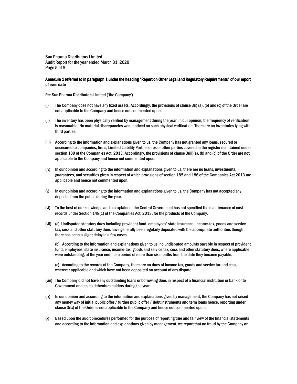Sun Pharma Distributors Limited Audit Report for the year ended March 31, 2020 Page 5 of 8

### Annexure 1 referred to in paragraph 1 under the heading "Report on Other Legal and Regulatory Requirements" of our report of even date

Re: Sun Pharma Distributors Limited ('the Company')

- (i) The Company does not have any fixed assets. Accordingly, the provisions of clause 3(i) (a), (b) and (c) of the Order are not applicable to the Company and hence not commented upon.
- (ii) The inventory has been physically verified by management during the year. In our opinion, the frequency of verification is reasonable. No material discrepancies were noticed on such physical verification. There are no inventories lying with third parties.
- (iii) According to the information and explanations given to us, the Company has not granted any loans, secured or unsecured to companies, firms, Limited Liability Partnerships or other parties covered in the register maintained under section 189 of the Companies Act, 2013. Accordingly, the provisions of clause 3(iii)(a), (b) and (c) of the Order are not applicable to the Company and hence not commented upon.
- (iv) In our opinion and according to the information and explanations given to us, there are no loans, investments, guarantees, and securities given in respect of which provisions of section 185 and 186 of the Companies Act 2013 are applicable and hence not commented upon.
- (v) In our opinion and according to the information and explanations given to us, the Company has not accepted any deposits from the public during the year.
- (vi) To the best of our knowledge and as explained, the Central Government has not specified the maintenance of cost records under Section 148(1) of the Companies Act, 2013, for the products of the Company.
- (vii) (a) Undisputed statutory dues including provident fund, employees' state insurance, income-tax, goods and service tax, cess and other statutory dues have generally been regularly deposited with the appropriate authorities though there has been a slight delay in a few cases.

 (b) According to the information and explanations given to us, no undisputed amounts payable in respect of provident fund, employees' state insurance, income-tax, goods and service tax, cess and other statutory dues, where applicable were outstanding, at the year end, for a period of more than six months from the date they became payable.

 (c) According to the records of the Company, there are no dues of income tax, goods and service tax and cess, wherever applicable and which have not been deposited on account of any dispute.

- (viii) The Company did not have any outstanding loans or borrowing dues in respect of a financial institution or bank or to Government or dues to debenture holders during the year.
- (ix) In our opinion and according to the information and explanations given by management, the Company has not raised any money way of initial public offer / further public offer / debt instruments and term loans hence, reporting under clause 3(ix) of the Order is not applicable to the Company and hence not commented upon.
- (x) Based upon the audit procedures performed for the purpose of reporting true and fair view of the financial statements and according to the information and explanations given by management, we report that no fraud by the Company or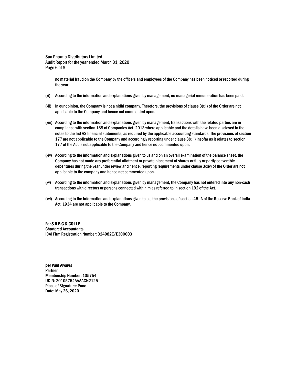Sun Pharma Distributors Limited Audit Report for the year ended March 31, 2020 Page 6 of 8

> no material fraud on the Company by the officers and employees of the Company has been noticed or reported during the year.

- (xi) According to the information and explanations given by management, no managerial remuneration has been paid.
- (xii) In our opinion, the Company is not a nidhi company. Therefore, the provisions of clause 3(xii) of the Order are not applicable to the Company and hence not commented upon.
- (xiii) According to the information and explanations given by management, transactions with the related parties are in compliance with section 188 of Companies Act, 2013 where applicable and the details have been disclosed in the notes to the Ind AS financial statements, as required by the applicable accounting standards. The provisions of section 177 are not applicable to the Company and accordingly reporting under clause 3(xiii) insofar as it relates to section 177 of the Act is not applicable to the Company and hence not commented upon.
- (xiv) According to the information and explanations given to us and on an overall examination of the balance sheet, the Company has not made any preferential allotment or private placement of shares or fully or partly convertible debentures during the year under review and hence, reporting requirements under clause 3(xiv) of the Order are not applicable to the company and hence not commented upon.
- (xv) According to the information and explanations given by management, the Company has not entered into any non-cash transactions with directors or persons connected with him as referred to in section 192 of the Act.
- (xvi) According to the information and explanations given to us, the provisions of section 45-IA of the Reserve Bank of India Act, 1934 are not applicable to the Company.

#### For SRBC&COLLP

Chartered Accountants ICAI Firm Registration Number: 324982E/E300003

#### per Paul Alvares Partner Membership Number: 105754 UDIN: 20105754AAAACN2125 Place of Signature: Pune Date: May 26, 2020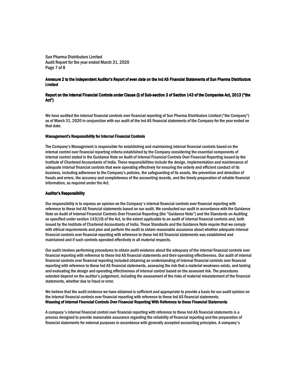Sun Pharma Distributors Limited Audit Report for the year ended March 31, 2020 Page 7 of 8

### Annexure 2 to the Independent Auditor's Report of even date on the Ind AS Financial Statements of Sun Pharma Distributors Limited Limited

### Report on the Internal Financial Controls under Clause (i) of Sub-section 3 of Section 143 of the Companies Act, 2013 ("the Act")

We have audited the internal financial controls over financial reporting of Sun Pharma Distributors Limited ("the Company") as of March 31, 2020 in conjunction with our audit of the Ind AS financial statements of the Company for the year ended on that date.

### Management's Responsibility for Internal Financial Controls

The Company's Management is responsible for establishing and maintaining internal financial controls based on the internal control over financial reporting criteria established by the Company considering the essential components of internal control stated in the Guidance Note on Audit of Internal Financial Controls Over Financial Reporting issued by the Institute of Chartered Accountants of India. These responsibilities include the design, implementation and maintenance of adequate internal financial controls that were operating effectively for ensuring the orderly and efficient conduct of its business, including adherence to the Company's policies, the safeguarding of its assets, the prevention and detection of frauds and errors, the accuracy and completeness of the accounting records, and the timely preparation of reliable financial information, as required under the Act.

#### **Auditor's Responsibility**

Our responsibility is to express an opinion on the Company's internal financial controls over financial reporting with reference to these Ind AS financial statements based on our audit. We conducted our audit in accordance with the Guidance Note on Audit of Internal Financial Controls Over Financial Reporting (the "Guidance Note") and the Standards on Auditing as specified under section 143(10) of the Act, to the extent applicable to an audit of internal financial controls and, both issued by the Institute of Chartered Accountants of India. Those Standards and the Guidance Note require that we comply with ethical requirements and plan and perform the audit to obtain reasonable assurance about whether adequate internal financial controls over financial reporting with reference to these Ind AS financial statements was established and maintained and if such controls operated effectively in all material respects.

Our audit involves performing procedures to obtain audit evidence about the adequacy of the internal financial controls over financial reporting with reference to these Ind AS financial statements and their operating effectiveness. Our audit of internal financial controls over financial reporting included obtaining an understanding of internal financial controls over financial reporting with reference to these Ind AS financial statements, assessing the risk that a material weakness exists, and testing and evaluating the design and operating effectiveness of internal control based on the assessed risk. The procedures selected depend on the auditor's judgement, including the assessment of the risks of material misstatement of the financial statements, whether due to fraud or error.

We believe that the audit evidence we have obtained is sufficient and appropriate to provide a basis for our audit opinion on the internal financial controls over financial reporting with reference to these Ind AS financial statements. Meaning of Internal Financial Controls Over Financial Reporting With Reference to these Financial Statements

A company's internal financial control over financial reporting with reference to these Ind AS financial statements is a process designed to provide reasonable assurance regarding the reliability of financial reporting and the preparation of financial statements for external purposes in accordance with generally accepted accounting principles. A company's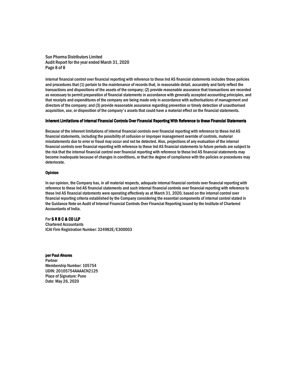Sun Pharma Distributors Limited Audit Report for the year ended March 31, 2020 Page 8 of 8

internal financial control over financial reporting with reference to these Ind AS financial statements includes those policies and procedures that (1) pertain to the maintenance of records that, in reasonable detail, accurately and fairly reflect the transactions and dispositions of the assets of the company; (2) provide reasonable assurance that transactions are recorded as necessary to permit preparation of financial statements in accordance with generally accepted accounting principles, and that receipts and expenditures of the company are being made only in accordance with authorisations of management and directors of the company; and (3) provide reasonable assurance regarding prevention or timely detection of unauthorised acquisition, use, or disposition of the company's assets that could have a material effect on the financial statements.

#### Inherent Limitations of Internal Financial Controls Over Financial Reporting With Reference to these Financial Statements

Because of the inherent limitations of internal financial controls over financial reporting with reference to these Ind AS financial statements, including the possibility of collusion or improper management override of controls, material misstatements due to error or fraud may occur and not be detected. Also, projections of any evaluation of the internal financial controls over financial reporting with reference to these Ind AS financial statements to future periods are subject to the risk that the internal financial control over financial reporting with reference to these Ind AS financial statements may become inadequate because of changes in conditions, or that the degree of compliance with the policies or procedures may deteriorate.

#### **Opinion**

In our opinion, the Company has, in all material respects, adequate internal financial controls over financial reporting with reference to these Ind AS financial statements and such internal financial controls over financial reporting with reference to these Ind AS financial statements were operating effectively as at March 31, 2020, based on the internal control over financial reporting criteria established by the Company considering the essential components of internal control stated in the Guidance Note on Audit of Internal Financial Controls Over Financial Reporting issued by the Institute of Chartered Accountants of India.

#### For SRBC&COLLP

Chartered Accountants ICAI Firm Registration Number: 324982E/E300003

#### per Paul Alvares

Partner Membership Number: 105754 UDIN: 20105754AAAACN2125 Place of Signature: Pune Date: May 26, 2020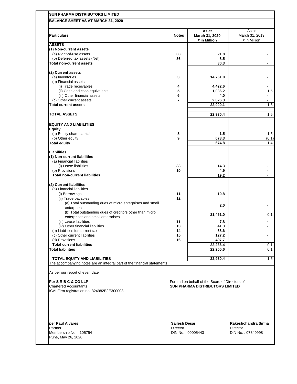| <b>BALANCE SHEET AS AT MARCH 31, 2020</b>                               |                   |                                                |                     |
|-------------------------------------------------------------------------|-------------------|------------------------------------------------|---------------------|
|                                                                         |                   |                                                |                     |
|                                                                         |                   | As at                                          | As at               |
| <b>Particulars</b>                                                      | <b>Notes</b>      | March 31, 2020                                 | March 31, 2019      |
|                                                                         |                   | ₹ in Million                                   | ₹ in Million        |
| <b>ASSETS</b>                                                           |                   |                                                |                     |
| (1) Non-current assets                                                  |                   |                                                |                     |
| (a) Right-of-use assets                                                 | 33                | 21.8                                           |                     |
| (b) Deferred tax assets (Net)                                           | 36                | 8.5                                            |                     |
| <b>Total non-current assets</b>                                         |                   | 30.3                                           |                     |
|                                                                         |                   |                                                |                     |
| (2) Current assets                                                      |                   |                                                |                     |
| (a) Inventories                                                         | 3                 | 14,761.0                                       |                     |
| (b) Financial assets                                                    |                   |                                                |                     |
| (i) Trade receivables                                                   | 4                 | 4,422.6                                        |                     |
| (ii) Cash and cash equivalents                                          | 5                 | 1,086.2                                        |                     |
| (iii) Other financial assets                                            | 6                 | 4.0                                            |                     |
|                                                                         | $\overline{7}$    |                                                |                     |
| (c) Other current assets                                                |                   | 2,626.3                                        |                     |
| <b>Total current assets</b>                                             |                   | 22,900.1                                       |                     |
|                                                                         |                   |                                                |                     |
| <b>TOTAL ASSETS</b>                                                     |                   | 22,930.4                                       |                     |
|                                                                         |                   |                                                |                     |
| <b>EQUITY AND LIABILITIES</b>                                           |                   |                                                |                     |
| <b>Equity</b>                                                           |                   |                                                |                     |
| (a) Equity share capital                                                | 8                 | 1.5                                            |                     |
| (b) Other equity                                                        | 9                 | 673.3                                          | (0.1)               |
| <b>Total equity</b>                                                     |                   | 674.8                                          |                     |
|                                                                         |                   |                                                |                     |
| <b>Liabilities</b>                                                      |                   |                                                |                     |
| (1) Non-current liabilities                                             |                   |                                                |                     |
| (a) Financial liabilities                                               |                   |                                                |                     |
| (i) Lease liabilities                                                   | 33                | 14.3                                           |                     |
| (b) Provisions                                                          | 10                | 4.9                                            |                     |
| <b>Total non-current liabilities</b>                                    |                   | 19.2                                           |                     |
|                                                                         |                   |                                                |                     |
| (2) Current liabilities                                                 |                   |                                                |                     |
| (a) Financial liabilities                                               |                   |                                                |                     |
| (i) Borrowings                                                          | 11                | 10.8                                           |                     |
| (ii) Trade payables                                                     | 12                |                                                |                     |
|                                                                         |                   |                                                |                     |
| (a) Total outstanding dues of micro enterprises and small               |                   | 2.0                                            |                     |
| enterprises                                                             |                   |                                                |                     |
| (b) Total outstanding dues of creditors other than micro                |                   | 21,461.0                                       |                     |
| enterprises and small enterprises                                       |                   |                                                |                     |
| (iii) Lease liabilities                                                 | 33                | 7.8                                            |                     |
| (iv) Other financial liabilities                                        | 13                | 41.3                                           |                     |
| (b) Liabilities for current tax                                         | 14                | 88.6                                           |                     |
| (c) Other current liabilities                                           | 15                | 127.2                                          |                     |
| (d) Provisions                                                          | 16                | 497.7                                          |                     |
| <b>Total current liabilities</b>                                        |                   | 22.236.4                                       |                     |
| <b>Total liabilities</b>                                                |                   | 22,255.6                                       |                     |
|                                                                         |                   |                                                |                     |
| <b>TOTAL EQUITY AND LIABILITIES</b>                                     |                   | 22,930.4                                       |                     |
| The accompanying notes are an integral part of the financial statements |                   |                                                |                     |
| As per our report of even date                                          |                   |                                                |                     |
|                                                                         |                   |                                                |                     |
| For SRBC&COLLP                                                          |                   | For and on behalf of the Board of Directors of |                     |
| <b>Chartered Accountants</b>                                            |                   | <b>SUN PHARMA DISTRIBUTORS LIMITED</b>         |                     |
| ICAI Firm registration no: 324982E/ E300003                             |                   |                                                |                     |
|                                                                         |                   |                                                |                     |
| per Paul Alvares                                                        | Sailesh Desai     |                                                | Rakeshchandra Sinha |
| Partner                                                                 | Director          |                                                | Director            |
|                                                                         |                   |                                                |                     |
| Membership No.: 105754<br>Pune, May 26, 2020                            | DIN No.: 00005443 |                                                | DIN No.: 07340998   |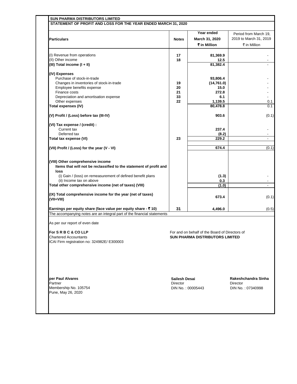| <b>Particulars</b>                                                                                                                                                                                               | <b>Notes</b>              | Year ended<br>March 31, 2020<br>₹ in Million   | Period from March 19,<br>2019 to March 31, 2019<br>₹ in Million |
|------------------------------------------------------------------------------------------------------------------------------------------------------------------------------------------------------------------|---------------------------|------------------------------------------------|-----------------------------------------------------------------|
| (I) Revenue from operations                                                                                                                                                                                      | 17                        | 81,369.9                                       |                                                                 |
| (II) Other income                                                                                                                                                                                                | 18                        | 12.5                                           | -                                                               |
| (III) Total income (I + II)                                                                                                                                                                                      |                           | 81,382.4                                       |                                                                 |
| (IV) Expenses                                                                                                                                                                                                    |                           |                                                |                                                                 |
| Purchase of stock-in-trade                                                                                                                                                                                       |                           | 93,806.4                                       |                                                                 |
| Changes in inventories of stock-in-trade                                                                                                                                                                         | 19                        | (14,761.0)                                     |                                                                 |
| Employee benefits expense                                                                                                                                                                                        | 20                        | 15.0                                           |                                                                 |
| Finance costs                                                                                                                                                                                                    | 21                        | 272.8                                          |                                                                 |
| Depreciation and amortisation expense                                                                                                                                                                            | 33                        | 6.1                                            | $\overline{\phantom{a}}$                                        |
| Other expenses                                                                                                                                                                                                   | 22                        | 1,139.5                                        | 0.1                                                             |
| Total expenses (IV)                                                                                                                                                                                              |                           | 80,478.8                                       | 0.1                                                             |
| (V) Profit / (Loss) before tax (III-IV)                                                                                                                                                                          |                           | 903.6                                          | (0.1)                                                           |
| (VI) Tax expense / (credit) :                                                                                                                                                                                    |                           |                                                |                                                                 |
| Current tax                                                                                                                                                                                                      |                           | 237.4                                          | $\overline{\phantom{0}}$                                        |
| Deferred tax                                                                                                                                                                                                     |                           | (8.2)                                          |                                                                 |
| Total tax expense (VI)                                                                                                                                                                                           | 23                        | 229.2                                          | $\overline{\phantom{a}}$                                        |
| (VII) Profit / (Loss) for the year (V - VI)                                                                                                                                                                      |                           | 674.4                                          | (0.1)                                                           |
| (i) Gain / (loss) on remeasurement of defined benefit plans<br>(ii) Income tax on above<br>Total other comprehensive income (net of taxes) (VIII)<br>(IX) Total comprehensive income for the year (net of taxes) |                           | (1.3)<br>0.3<br>(1.0)<br>673.4                 | $\blacksquare$<br>(0.1)                                         |
| (VII+VIII)                                                                                                                                                                                                       |                           |                                                |                                                                 |
| Earnings per equity share (face value per equity share - ₹10)<br>The accompanying notes are an integral part of the financial statements                                                                         | 31                        | 4,496.0                                        | (0.5)                                                           |
| As per our report of even date                                                                                                                                                                                   |                           |                                                |                                                                 |
| For SRBC & COLLP                                                                                                                                                                                                 |                           | For and on behalf of the Board of Directors of |                                                                 |
| <b>Chartered Accountants</b>                                                                                                                                                                                     |                           | <b>SUN PHARMA DISTRIBUTORS LIMITED</b>         |                                                                 |
| ICAI Firm registration no: 324982E/ E300003                                                                                                                                                                      |                           |                                                |                                                                 |
|                                                                                                                                                                                                                  |                           |                                                |                                                                 |
| per Paul Alvares<br>Partner                                                                                                                                                                                      | Sailesh Desai<br>Director |                                                | Rakeshchandra Sinha<br>Director                                 |
| Membership No. 105754<br>Pune, May 26, 2020                                                                                                                                                                      | DIN No.: 00005443         |                                                | DIN No.: 07340998                                               |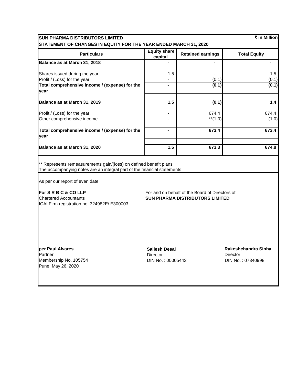| <b>SUN PHARMA DISTRIBUTORS LIMITED</b>                                                                                                                                                           |                                |                                                | ₹ in Million        |
|--------------------------------------------------------------------------------------------------------------------------------------------------------------------------------------------------|--------------------------------|------------------------------------------------|---------------------|
| STATEMENT OF CHANGES IN EQUITY FOR THE YEAR ENDED MARCH 31, 2020<br><b>Particulars</b>                                                                                                           | <b>Equity share</b><br>capital | <b>Retained earnings</b>                       | <b>Total Equity</b> |
| Balance as at March 31, 2018                                                                                                                                                                     |                                |                                                |                     |
| Shares issued during the year<br>Profit / (Loss) for the year                                                                                                                                    | 1.5                            | $\blacksquare$<br>(0.1)                        | 1.5<br>(0.1)        |
| Total comprehensive income / (expense) for the<br>vear                                                                                                                                           |                                | (0.1)                                          | (0.1)               |
| Balance as at March 31, 2019                                                                                                                                                                     | 1.5                            | (0.1)                                          | 1.4                 |
| Profit / (Loss) for the year                                                                                                                                                                     |                                | 674.4                                          | 674.4               |
| Other comprehensive income                                                                                                                                                                       |                                | $**$ (1.0)                                     | (1.0)               |
| Total comprehensive income / (expense) for the<br>year                                                                                                                                           | $\blacksquare$                 | 673.4                                          | 673.4               |
| Balance as at March 31, 2020                                                                                                                                                                     | 1.5                            | 673.3                                          | 674.8               |
| ** Represents remeasurements gain/(loss) on defined benefit plans<br>The accompanying notes are an integral part of the financial statements<br>As per our report of even date<br>For SRBC&COLLP |                                | For and on behalf of the Board of Directors of |                     |
| <b>Chartered Accountants</b>                                                                                                                                                                     |                                |                                                |                     |
| ICAI Firm registration no: 324982E/ E300003                                                                                                                                                      |                                | <b>SUN PHARMA DISTRIBUTORS LIMITED</b>         |                     |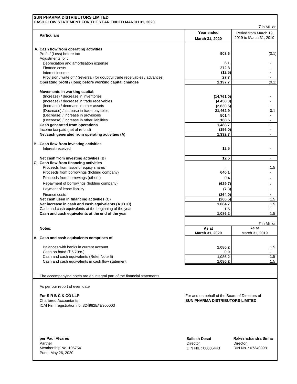| <b>SUN PHARMA DISTRIBUTORS LIMITED</b><br>CASH FLOW STATEMENT FOR THE YEAR ENDED MARCH 31, 2020 |                                                |                          |
|-------------------------------------------------------------------------------------------------|------------------------------------------------|--------------------------|
|                                                                                                 |                                                | ₹ in Million             |
| <b>Particulars</b>                                                                              | Year ended                                     | Period from March 19,    |
|                                                                                                 | March 31, 2020                                 | 2019 to March 31, 2019   |
| A. Cash flow from operating activities                                                          |                                                |                          |
| Profit / (Loss) before tax                                                                      | 903.6                                          | (0.1)                    |
| Adjustments for:                                                                                |                                                |                          |
| Depreciation and amortisation expense                                                           | 6.1                                            |                          |
| Finance costs                                                                                   | 272.8                                          |                          |
| Interest income<br>Provision / write off / (reversal) for doubtful trade receivables / advances | (12.5)<br>27.7                                 |                          |
| Operating profit / (loss) before working capital changes                                        | 1,197.7                                        | (0.1)                    |
|                                                                                                 |                                                |                          |
| Movements in working capital:                                                                   |                                                |                          |
| (Increase) / decrease in inventories                                                            | (14,761.0)                                     |                          |
| (Increase) / decrease in trade receivables                                                      | (4, 450.3)                                     |                          |
| (Increase) / decrease in other assets<br>(Decrease) / increase in trade payables                | (2,630.5)<br>21,462.9                          | 0.1                      |
| (Decrease) / increase in provisions                                                             | 501.4                                          |                          |
| (Decrease) / increase in other liabilities                                                      | 168.5                                          | $\overline{\phantom{a}}$ |
| Cash generated from operations                                                                  | 1,488.7                                        |                          |
| Income tax paid (net of refund)                                                                 | (156.0)                                        |                          |
| Net cash generated from operating activities (A)                                                | 1.332.7                                        |                          |
| B. Cash flow from investing activities                                                          |                                                |                          |
| Interest received                                                                               | 12.5                                           |                          |
|                                                                                                 |                                                |                          |
| Net cash from investing activities (B)                                                          | 12.5                                           | $\overline{\phantom{a}}$ |
| C. Cash flow from financing activities                                                          |                                                |                          |
| Proceeds from Issue of equity shares<br>Proceeds from borrowings (holding company)              | 640.1                                          | 1.5                      |
| Proceeds from borrowings (others)                                                               | 0.4                                            |                          |
|                                                                                                 |                                                |                          |
| Repayment of borrowings (holding company)                                                       | (629.7)                                        |                          |
| Payment of lease liability<br>Finance costs                                                     | (7.3)                                          |                          |
| Net cash used in financing activities (C)                                                       | (264.0)<br>(260.5)                             | 1.5                      |
| Net increase in cash and cash equivalents (A+B+C)                                               | 1,084.7                                        | 1.5                      |
| Cash and cash equivalents at the beginning of the year                                          | 1.5                                            |                          |
| Cash and cash equivalents at the end of the year                                                | 1,086.2                                        | 1.5                      |
|                                                                                                 |                                                | ₹ in Million             |
| Notes:                                                                                          | As at                                          | As at                    |
|                                                                                                 | March 31, 2020                                 | March 31, 2019           |
| A Cash and cash equivalents comprises of                                                        |                                                |                          |
| Balances with banks in current account                                                          | 1,086.2                                        | 1.5                      |
| Cash on hand (₹ 6,798/-)                                                                        | 0.0                                            |                          |
| Cash and cash equivalents (Refer Note 5)                                                        | 1,086.2                                        | 1.5                      |
| Cash and cash equivalents in cash flow statement                                                | 1,086.2                                        | 1.5                      |
|                                                                                                 |                                                |                          |
| The accompanying notes are an integral part of the financial statements                         |                                                |                          |
|                                                                                                 |                                                |                          |
| As per our report of even date                                                                  |                                                |                          |
| For SRBC&COLLP                                                                                  | For and on behalf of the Board of Directors of |                          |
| <b>Chartered Accountants</b>                                                                    | <b>SUN PHARMA DISTRIBUTORS LIMITED</b>         |                          |
| ICAI Firm registration no: 324982E/ E300003                                                     |                                                |                          |
|                                                                                                 |                                                |                          |
| per Paul Alvares                                                                                | Sailesh Desai                                  | Rakeshchandra Sinha      |
| Partner                                                                                         | <b>Director</b>                                | Director                 |
| Membership No. 105754                                                                           | DIN No.: 00005443                              | DIN No.: 07340998        |
| Pune, May 26, 2020                                                                              |                                                |                          |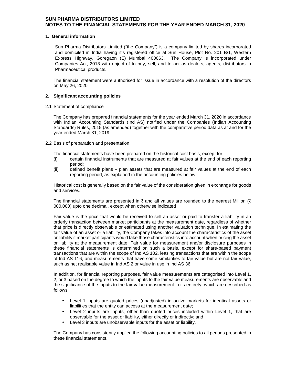### **1. General information**

Sun Pharma Distributors Limited ("the Company") is a company limited by shares incorporated and domiciled in India having it's registered office at Sun House, Plot No. 201 B/1, Western Express Highway, Goregaon (E) Mumbai 400063. The Company is incorporated under Companies Act, 2013 with object of to buy, sell, and to act as dealers, agents, distributors in Pharmaceutical products.

The financial statement were authorised for issue in accordance with a resolution of the directors on May 26, 2020

### **2. Significant accounting policies**

2.1 Statement of compliance

The Company has prepared financial statements for the year ended March 31, 2020 in accordance with Indian Accounting Standards (Ind AS) notified under the Companies (Indian Accounting Standards) Rules, 2015 (as amended) together with the comparative period data as at and for the year ended March 31, 2019.

2.2 Basis of preparation and presentation

The financial statements have been prepared on the historical cost basis, except for:

- (i) certain financial instruments that are measured at fair values at the end of each reporting period;
- (ii) defined benefit plans plan assets that are measured at fair values at the end of each reporting period, as explained in the accounting policies below.

Historical cost is generally based on the fair value of the consideration given in exchange for goods and services.

The financial statements are presented in  $\bar{\tau}$  and all values are rounded to the nearest Million ( $\bar{\tau}$ 000,000) upto one decimal, except when otherwise indicated

Fair value is the price that would be received to sell an asset or paid to transfer a liability in an orderly transaction between market participants at the measurement date, regardless of whether that price is directly observable or estimated using another valuation technique. In estimating the fair value of an asset or a liability, the Company takes into account the characteristics of the asset or liability if market participants would take those characteristics into account when pricing the asset or liability at the measurement date. Fair value for measurement and/or disclosure purposes in these financial statements is determined on such a basis, except for share-based payment transactions that are within the scope of Ind AS 102, leasing transactions that are within the scope of Ind AS 116, and measurements that have some similarities to fair value but are not fair value, such as net realisable value in Ind AS 2 or value in use in Ind AS 36.

In addition, for financial reporting purposes, fair value measurements are categorised into Level 1, 2, or 3 based on the degree to which the inputs to the fair value measurements are observable and the significance of the inputs to the fair value measurement in its entirety, which are described as follows:

- Level 1 inputs are quoted prices (unadjusted) in active markets for identical assets or liabilities that the entity can access at the measurement date;
- Level 2 inputs are inputs, other than quoted prices included within Level 1, that are observable for the asset or liability, either directly or indirectly; and
- Level 3 inputs are unobservable inputs for the asset or liability.

The Company has consistently applied the following accounting policies to all periods presented in these financial statements.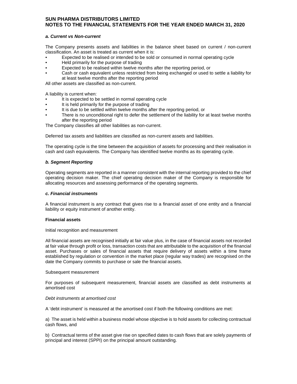### **a. Current vs Non-current**

The Company presents assets and liabilities in the balance sheet based on current / non-current classification. An asset is treated as current when it is:

- Expected to be realised or intended to be sold or consumed in normal operating cycle
- Held primarily for the purpose of trading
- Expected to be realised within twelve months after the reporting period, or
- Cash or cash equivalent unless restricted from being exchanged or used to settle a liability for at least twelve months after the reporting period

All other assets are classified as non-current.

A liability is current when:

- It is expected to be settled in normal operating cycle
- It is held primarily for the purpose of trading
- It is due to be settled within twelve months after the reporting period, or
- There is no unconditional right to defer the settlement of the liability for at least twelve months after the reporting period

The Company classifies all other liabilities as non-current.

Deferred tax assets and liabilities are classified as non-current assets and liabilities.

The operating cycle is the time between the acquisition of assets for processing and their realisation in cash and cash equivalents. The Company has identified twelve months as its operating cycle.

#### **b. Segment Reporting**

Operating segments are reported in a manner consistent with the internal reporting provided to the chief operating decision maker. The chief operating decision maker of the Company is responsible for allocating resources and assessing performance of the operating segments.

#### **c. Financial instruments**

A financial instrument is any contract that gives rise to a financial asset of one entity and a financial liability or equity instrument of another entity.

#### **Financial assets**

Initial recognition and measurement

All financial assets are recognised initially at fair value plus, in the case of financial assets not recorded at fair value through profit or loss, transaction costs that are attributable to the acquisition of the financial asset. Purchases or sales of financial assets that require delivery of assets within a time frame established by regulation or convention in the market place (regular way trades) are recognised on the date the Company commits to purchase or sale the financial assets.

#### Subsequent measurement

For purposes of subsequent measurement, financial assets are classified as debt instruments at amortised cost

#### Debt instruments at amortised cost

A 'debt instrument' is measured at the amortised cost if both the following conditions are met:

a) The asset is held within a business model whose objective is to hold assets for collecting contractual cash flows, and

b) Contractual terms of the asset give rise on specified dates to cash flows that are solely payments of principal and interest (SPPI) on the principal amount outstanding.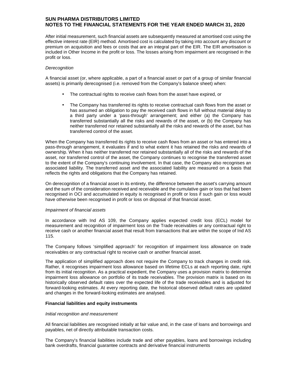After initial measurement, such financial assets are subsequently measured at amortised cost using the effective interest rate (EIR) method. Amortised cost is calculated by taking into account any discount or premium on acquisition and fees or costs that are an integral part of the EIR. The EIR amortisation is included in Other Income in the profit or loss. The losses arising from impairment are recognised in the profit or loss.

#### **Derecognition**

A financial asset (or, where applicable, a part of a financial asset or part of a group of similar financial assets) is primarily derecognised (i.e. removed from the Company's balance sheet) when:

- The contractual rights to receive cash flows from the asset have expired, or
- The Company has transferred its rights to receive contractual cash flows from the asset or has assumed an obligation to pay the received cash flows in full without material delay to a third party under a 'pass-through' arrangement; and either (a) the Company has transferred substantially all the risks and rewards of the asset, or (b) the Company has neither transferred nor retained substantially all the risks and rewards of the asset, but has transferred control of the asset.

When the Company has transferred its rights to receive cash flows from an asset or has entered into a pass-through arrangement, it evaluates if and to what extent it has retained the risks and rewards of ownership. When it has neither transferred nor retained substantially all of the risks and rewards of the asset, nor transferred control of the asset, the Company continues to recognise the transferred asset to the extent of the Company's continuing involvement. In that case, the Company also recognises an associated liability. The transferred asset and the associated liability are measured on a basis that reflects the rights and obligations that the Company has retained.

On derecognition of a financial asset in its entirety, the difference between the asset's carrying amount and the sum of the consideration received and receivable and the cumulative gain or loss that had been recognised in OCI and accumulated in equity is recognised in profit or loss if such gain or loss would have otherwise been recognised in profit or loss on disposal of that financial asset.

### Impairment of financial assets

In accordance with Ind AS 109, the Company applies expected credit loss (ECL) model for measurement and recognition of impairment loss on the Trade receivables or any contractual right to receive cash or another financial asset that result from transactions that are within the scope of Ind AS 115.

The Company follows 'simplified approach' for recognition of impairment loss allowance on trade receivables or any contractual right to receive cash or another financial asset.

The application of simplified approach does not require the Company to track changes in credit risk. Rather, it recognises impairment loss allowance based on lifetime ECLs at each reporting date, right from its initial recognition. As a practical expedient, the Company uses a provision matrix to determine impairment loss allowance on portfolio of its trade receivables. The provision matrix is based on its historically observed default rates over the expected life of the trade receivables and is adjusted for forward-looking estimates. At every reporting date, the historical observed default rates are updated and changes in the forward-looking estimates are analysed.

### **Financial liabilities and equity instruments**

#### Initial recognition and measurement

All financial liabilities are recognised initially at fair value and, in the case of loans and borrowings and payables, net of directly attributable transaction costs.

The Company's financial liabilities include trade and other payables, loans and borrowings including bank overdrafts, financial guarantee contracts and derivative financial instruments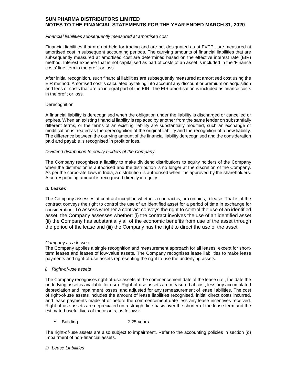### Financial liabilities subsequently measured at amortised cost

Financial liabilities that are not held-for-trading and are not designated as at FVTPL are measured at amortised cost in subsequent accounting periods. The carrying amounts of financial liabilities that are subsequently measured at amortised cost are determined based on the effective interest rate (EIR) method. Interest expense that is not capitalised as part of costs of an asset is included in the 'Finance costs' line item in the profit or loss.

After initial recognition, such financial liabilities are subsequently measured at amortised cost using the EIR method. Amortised cost is calculated by taking into account any discount or premium on acquisition and fees or costs that are an integral part of the EIR. The EIR amortisation is included as finance costs in the profit or loss.

#### **Derecognition**

A financial liability is derecognised when the obligation under the liability is discharged or cancelled or expires. When an existing financial liability is replaced by another from the same lender on substantially different terms, or the terms of an existing liability are substantially modified, such an exchange or modification is treated as the derecognition of the original liability and the recognition of a new liability. The difference between the carrying amount of the financial liability derecognised and the consideration paid and payable is recognised in profit or loss.

#### Dividend distribution to equity holders of the Company

The Company recognises a liability to make dividend distributions to equity holders of the Company when the distribution is authorised and the distribution is no longer at the discretion of the Company. As per the corporate laws in India, a distribution is authorised when it is approved by the shareholders. A corresponding amount is recognised directly in equity.

#### **d. Leases**

The Company assesses at contract inception whether a contract is, or contains, a lease. That is, if the contract conveys the right to control the use of an identified asset for a period of time in exchange for consideration. To assess whether a contract conveys the right to control the use of an identified asset, the Company assesses whether: (i) the contract involves the use of an identified asset (ii) the Company has substantially all of the economic benefits from use of the asset through the period of the lease and (iii) the Company has the right to direct the use of the asset.

### Company as a lessee

The Company applies a single recognition and measurement approach for all leases, except for shortterm leases and leases of low-value assets. The Company recognises lease liabilities to make lease payments and right-of-use assets representing the right to use the underlying assets.

#### i) Right-of-use assets

The Company recognises right-of-use assets at the commencement date of the lease (i.e., the date the underlying asset is available for use). Right-of-use assets are measured at cost, less any accumulated depreciation and impairment losses, and adjusted for any remeasurement of lease liabilities. The cost of right-of-use assets includes the amount of lease liabilities recognised, initial direct costs incurred, and lease payments made at or before the commencement date less any lease incentives received. Right-of-use assets are depreciated on a straight-line basis over the shorter of the lease term and the estimated useful lives of the assets, as follows:

• Building 2-25 years

The right-of-use assets are also subject to impairment. Refer to the accounting policies in section (d) Impairment of non-financial assets.

#### ii) Lease Liabilities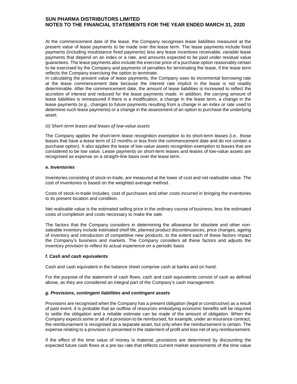At the commencement date of the lease, the Company recognises lease liabilities measured at the present value of lease payments to be made over the lease term. The lease payments include fixed payments (including insubstance fixed payments) less any lease incentives receivable, variable lease payments that depend on an index or a rate, and amounts expected to be paid under residual value guarantees. The lease payments also include the exercise price of a purchase option reasonably certain to be exercised by the Company and payments of penalties for terminating the lease, if the lease term reflects the Company exercising the option to terminate.

In calculating the present value of lease payments, the Company uses its incremental borrowing rate at the lease commencement date because the interest rate implicit in the lease is not readily determinable. After the commencement date, the amount of lease liabilities is increased to reflect the accretion of interest and reduced for the lease payments made. In addition, the carrying amount of lease liabilities is remeasured if there is a modification, a change in the lease term, a change in the lease payments (e.g., changes to future payments resulting from a change in an index or rate used to determine such lease payments) or a change in the assessment of an option to purchase the underlying asset.

### *iii)* S*hort-term leases and leases of low-value assets*

The Company applies the short-term lease recognition exemption to its short-term leases (i.e., those leases that have a lease term of 12 months or less from the commencement date and do not contain a purchase option). It also applies the lease of low-value assets recognition exemption to leases that are considered to be low value. Lease payments on short-term leases and leases of low-value assets are recognised as expense on a straight-line basis over the lease term.

#### **e. Inventories**

Inventories consisting of stock-in-trade, are measured at the lower of cost and net realisable value. The cost of inventories is based on the weighted average method.

Costs of stock-in-trade includes, cost of purchases and other costs incurred in bringing the inventories to its present location and condition.

Net realisable value is the estimated selling price in the ordinary course of business, less the estimated costs of completion and costs necessary to make the sale.

The factors that the Company considers in determining the allowance for obsolete and other nonsaleable inventory include estimated shelf life, planned product discontinuances, price changes, ageing of inventory and introduction of competitive new products, to the extent each of these factors impact the Company's business and markets. The Company considers all these factors and adjusts the inventory provision to reflect its actual experience on a periodic basis

### **f. Cash and cash equivalents**

Cash and cash equivalent in the balance sheet comprise cash at banks and on hand.

For the purpose of the statement of cash flows, cash and cash equivalents consist of cash as defined above, as they are considered an integral part of the Company's cash management.

#### **g. Provisions, contingent liabilities and contingent assets**

Provisions are recognised when the Company has a present obligation (legal or constructive) as a result of past event, it is probable that an outflow of resources embodying economic benefits will be required to settle the obligation and a reliable estimate can be made of the amount of obligation. When the Company expects some or all of a provision to be reimbursed, for example, under an insurance contract, the reimbursement is recognised as a separate asset, but only when the reimbursement is certain. The expense relating to a provision is presented in the statement of profit and loss net of any reimbursement.

If the effect of the time value of money is material, provisions are determined by discounting the expected future cash flows at a pre-tax rate that reflects current market assessments of the time value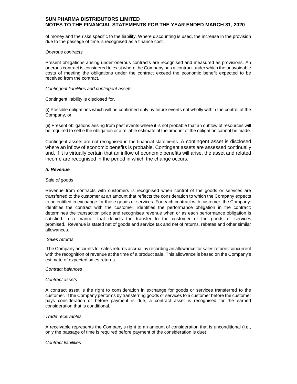of money and the risks specific to the liability. Where discounting is used, the increase in the provision due to the passage of time is recognised as a finance cost.

#### Onerous contracts

Present obligations arising under onerous contracts are recognised and measured as provisions. An onerous contract is considered to exist where the Company has a contract under which the unavoidable costs of meeting the obligations under the contract exceed the economic benefit expected to be received from the contract.

#### Contingent liabilities and contingent assets

Contingent liability is disclosed for,

(i) Possible obligations which will be confirmed only by future events not wholly within the control of the Company, or

(ii) Present obligations arising from past events where it is not probable that an outflow of resources will be required to settle the obligation or a reliable estimate of the amount of the obligation cannot be made.

Contingent assets are not recognised in the financial statements. A contingent asset is disclosed where an inflow of economic benefits is probable. Contingent assets are assessed continually and, if it is virtually certain that an inflow of economic benefits will arise, the asset and related income are recognised in the period in which the change occurs.

### **h. Revenue**

#### Sale of goods

Revenue from contracts with customers is recognised when control of the goods or services are transferred to the customer at an amount that reflects the consideration to which the Company expects to be entitled in exchange for those goods or services. For each contract with customer, the Company: identifies the contract with the customer; identifies the performance obligation in the contract; determines the transaction price and recognises revenue when or as each performance obligation is satisfied in a manner that depicts the transfer to the customer of the goods or services promised. Revenue is stated net of goods and service tax and net of returns, rebates and other similar allowances.

#### Sales returns

 The Company accounts for sales returns accrual by recording an allowance for sales returns concurrent with the recognition of revenue at the time of a product sale. This allowance is based on the Company's estimate of expected sales returns.

### Contract balances

#### Contract assets

A contract asset is the right to consideration in exchange for goods or services transferred to the customer. If the Company performs by transferring goods or services to a customer before the customer pays consideration or before payment is due, a contract asset is recognised for the earned consideration that is conditional.

### Trade receivables

A receivable represents the Company's right to an amount of consideration that is unconditional (i.e., only the passage of time is required before payment of the consideration is due).

#### Contract liabilities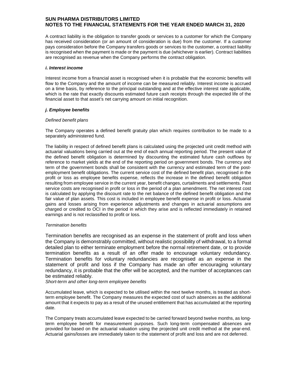A contract liability is the obligation to transfer goods or services to a customer for which the Company has received consideration (or an amount of consideration is due) from the customer. If a customer pays consideration before the Company transfers goods or services to the customer, a contract liability is recognised when the payment is made or the payment is due (whichever is earlier). Contract liabilities are recognised as revenue when the Company performs the contract obligation.

#### **i. Interest income**

Interest income from a financial asset is recognised when it is probable that the economic benefits will flow to the Company and the amount of income can be measured reliably. Interest income is accrued on a time basis, by reference to the principal outstanding and at the effective interest rate applicable, which is the rate that exactly discounts estimated future cash receipts through the expected life of the financial asset to that asset's net carrying amount on initial recognition.

### **j. Employee benefits**

### Defined benefit plans

The Company operates a defined benefit gratuity plan which requires contribution to be made to a separately administered fund.

The liability in respect of defined benefit plans is calculated using the projected unit credit method with actuarial valuations being carried out at the end of each annual reporting period. The present value of the defined benefit obligation is determined by discounting the estimated future cash outflows by reference to market yields at the end of the reporting period on government bonds. The currency and term of the government bonds shall be consistent with the currency and estimated term of the postemployment benefit obligations. The current service cost of the defined benefit plan, recognised in the profit or loss as employee benefits expense, reflects the increase in the defined benefit obligation resulting from employee service in the current year, benefit changes, curtailments and settlements. Past service costs are recognised in profit or loss in the period of a plan amendment. The net interest cost is calculated by applying the discount rate to the net balance of the defined benefit obligation and the fair value of plan assets. This cost is included in employee benefit expense in profit or loss. Actuarial gains and losses arising from experience adjustments and changes in actuarial assumptions are charged or credited to OCI in the period in which they arise and is reflected immediately in retained earnings and is not reclassified to profit or loss.

### Termination benefits

Termination benefits are recognised as an expense in the statement of profit and loss when the Company is demonstrably committed, without realistic possibility of withdrawal, to a formal detailed plan to either terminate employment before the normal retirement date, or to provide termination benefits as a result of an offer made to encourage voluntary redundancy. Termination benefits for voluntary redundancies are recognised as an expense in the statement of profit and loss if the Company has made an offer encouraging voluntary redundancy, it is probable that the offer will be accepted, and the number of acceptances can be estimated reliably.

Short-term and other long-term employee benefits

Accumulated leave, which is expected to be utilised within the next twelve months, is treated as shortterm employee benefit. The Company measures the expected cost of such absences as the additional amount that it expects to pay as a result of the unused entitlement that has accumulated at the reporting date.

The Company treats accumulated leave expected to be carried forward beyond twelve months, as longterm employee benefit for measurement purposes. Such long-term compensated absences are provided for based on the actuarial valuation using the projected unit credit method at the year-end. Actuarial gains/losses are immediately taken to the statement of profit and loss and are not deferred.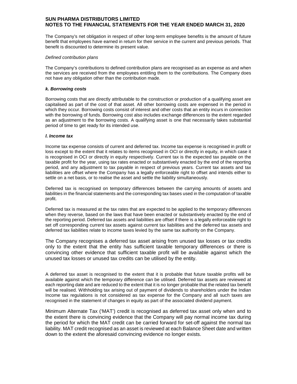The Company's net obligation in respect of other long-term employee benefits is the amount of future benefit that employees have earned in return for their service in the current and previous periods. That benefit is discounted to determine its present value.

### Defined contribution plans

The Company's contributions to defined contribution plans are recognised as an expense as and when the services are received from the employees entitling them to the contributions. The Company does not have any obligation other than the contribution made.

### **k. Borrowing costs**

Borrowing costs that are directly attributable to the construction or production of a qualifying asset are capitalised as part of the cost of that asset. All other borrowing costs are expensed in the period in which they occur. Borrowing costs consist of interest and other costs that an entity incurs in connection with the borrowing of funds. Borrowing cost also includes exchange differences to the extent regarded as an adjustment to the borrowing costs. A qualifying asset is one that necessarily takes substantial period of time to get ready for its intended use.

#### **l. Income tax**

Income tax expense consists of current and deferred tax. Income tax expense is recognised in profit or loss except to the extent that it relates to items recognised in OCI or directly in equity, in which case it is recognised in OCI or directly in equity respectively. Current tax is the expected tax payable on the taxable profit for the year, using tax rates enacted or substantively enacted by the end of the reporting period, and any adjustment to tax payable in respect of previous years. Current tax assets and tax liabilities are offset where the Company has a legally enforceable right to offset and intends either to settle on a net basis, or to realise the asset and settle the liability simultaneously.

Deferred tax is recognised on temporary differences between the carrying amounts of assets and liabilities in the financial statements and the corresponding tax bases used in the computation of taxable profit.

Deferred tax is measured at the tax rates that are expected to be applied to the temporary differences when they reverse, based on the laws that have been enacted or substantively enacted by the end of the reporting period. Deferred tax assets and liabilities are offset if there is a legally enforceable right to set off corresponding current tax assets against current tax liabilities and the deferred tax assets and deferred tax liabilities relate to income taxes levied by the same tax authority on the Company.

The Company recognises a deferred tax asset arising from unused tax losses or tax credits only to the extent that the entity has sufficient taxable temporary differences or there is convincing other evidence that sufficient taxable profit will be available against which the unused tax losses or unused tax credits can be utilised by the entity.

A deferred tax asset is recognised to the extent that it is probable that future taxable profits will be available against which the temporary difference can be utilised. Deferred tax assets are reviewed at each reporting date and are reduced to the extent that it is no longer probable that the related tax benefit will be realised. Withholding tax arising out of payment of dividends to shareholders under the Indian Income tax regulations is not considered as tax expense for the Company and all such taxes are recognised in the statement of changes in equity as part of the associated dividend payment.

Minimum Alternate Tax ('MAT') credit is recognised as deferred tax asset only when and to the extent there is convincing evidence that the Company will pay normal income tax during the period for which the MAT credit can be carried forward for set-off against the normal tax liability. MAT credit recognised as an asset is reviewed at each Balance Sheet date and written down to the extent the aforesaid convincing evidence no longer exists.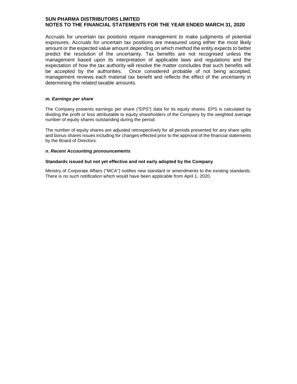Accruals for uncertain tax positions require management to make judgments of potential exposures. Accruals for uncertain tax positions are measured using either the most likely amount or the expected value amount depending on which method the entity expects to better predict the resolution of the uncertainty. Tax benefits are not recognised unless the management based upon its interpretation of applicable laws and regulations and the expectation of how the tax authority will resolve the matter concludes that such benefits will be accepted by the authorities. Once considered probable of not being accepted, management reviews each material tax benefit and reflects the effect of the uncertainty in determining the related taxable amounts.

### **m. Earnings per share**

The Company presents earnings per share ("EPS") data for its equity shares. EPS is calculated by dividing the profit or loss attributable to equity shareholders of the Company by the weighted average number of equity shares outstanding during the period.

The number of equity shares are adjusted retrospectively for all periods presented for any share splits and bonus shares issues including for changes effected prior to the approval of the financial statements by the Board of Directors.

### **n. Recent Accounting pronouncements**

### **Standards issued but not yet effective and not early adopted by the Company**

Ministry of Corporate Affairs ("MCA") notifies new standard or amendments to the existing standards. There is no such notification which would have been applicable from April 1, 2020.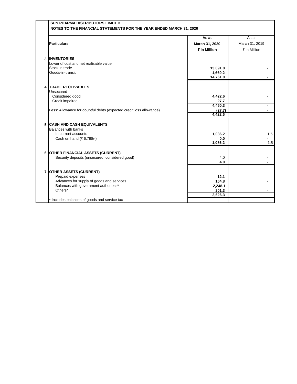| <b>SUN PHARMA DISTRIBUTORS LIMITED</b>                              |                |                |
|---------------------------------------------------------------------|----------------|----------------|
| NOTES TO THE FINANCIAL STATEMENTS FOR THE YEAR ENDED MARCH 31, 2020 |                |                |
|                                                                     | As at          | As at          |
| <b>Particulars</b>                                                  | March 31, 2020 | March 31, 2019 |
|                                                                     | ₹ in Million   | ₹ in Million   |
| <b>3 INVENTORIES</b>                                                |                |                |
| Lower of cost and net realisable value                              |                |                |
| Stock in trade                                                      | 13,091.8       |                |
| Goods-in-transit                                                    | 1,669.2        |                |
|                                                                     | 14,761.0       |                |
| <b>4 ITRADE RECEIVABLES</b>                                         |                |                |
| Unsecured                                                           |                |                |
| Considered good                                                     | 4,422.6        |                |
| Credit impaired                                                     | 27.7           |                |
|                                                                     | 4,450.3        |                |
| Less: Allowance for doubtful debts (expected credit loss allowance) | (27.7)         |                |
|                                                                     | 4,422.6        |                |
| <b>5 CASH AND CASH EQUIVALENTS</b>                                  |                |                |
| <b>Balances with banks</b>                                          |                |                |
| In current accounts                                                 | 1,086.2        | 1.5            |
| Cash on hand (₹ 6,798/-)                                            | 0.0            |                |
|                                                                     | 1,086.2        | 1.5            |
| 6 OTHER FINANCIAL ASSETS (CURRENT)                                  |                |                |
| Security deposits (unsecured, considered good)                      | 4.0            |                |
|                                                                     | 4.0            |                |
| 7 OTHER ASSETS (CURRENT)                                            |                |                |
| Prepaid expenses                                                    | 12.1           |                |
| Advances for supply of goods and services                           | 164.8          |                |
| Balances with government authorities*                               | 2,248.1        |                |
| Others*                                                             | 201.3          |                |
|                                                                     | 2,626.3        |                |
| Includes balances of goods and service tax                          |                |                |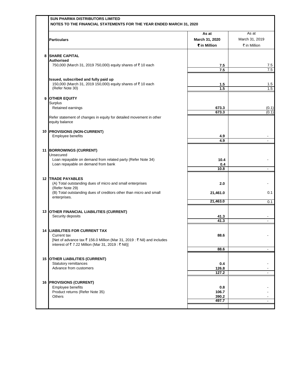|                                                                                                       | As at          | As at                    |
|-------------------------------------------------------------------------------------------------------|----------------|--------------------------|
| <b>Particulars</b>                                                                                    | March 31, 2020 | March 31, 2019           |
|                                                                                                       | ₹ in Million   | ₹ in Million             |
| <b>8 SHARE CAPITAL</b>                                                                                |                |                          |
| <b>Authorised</b>                                                                                     |                |                          |
| 750,000 (March 31, 2019 750,000) equity shares of ₹10 each                                            | 7.5            | 7.5                      |
|                                                                                                       | 7.5            | 7.5                      |
| Issued, subscribed and fully paid up                                                                  |                |                          |
| 150,000 (March 31, 2019 150,000) equity shares of ₹10 each                                            | 1.5            | 1.5                      |
| (Refer Note 30)                                                                                       | 1.5            | 1.5                      |
| 9 OTHER EQUITY                                                                                        |                |                          |
| Surplus                                                                                               |                |                          |
| Retained earnings                                                                                     | 673.3          | (0.1)                    |
|                                                                                                       | 673.3          | (0.1)                    |
| Refer statement of changes in equity for detailed movement in other<br>equity balance                 |                |                          |
| 10 PROVISIONS (NON-CURRENT)                                                                           |                |                          |
| Employee benefits                                                                                     | 4.9            |                          |
|                                                                                                       | 4.9            |                          |
| 11 BORROWINGS (CURRENT)<br>Unsecured                                                                  |                |                          |
| Loan repayable on demand from related party (Refer Note 34)                                           | 10.4           |                          |
| Loan repayable on demand from bank                                                                    | 0.4            |                          |
|                                                                                                       | 10.8           | $\overline{\phantom{a}}$ |
| <b>12 ITRADE PAYABLES</b>                                                                             |                |                          |
| (A) Total outstanding dues of micro and small enterprises                                             | 2.0            |                          |
| (Refer Note 29)<br>(B) Total outstanding dues of creditors other than micro and small<br>enterprises. | 21,461.0       | 0.1                      |
|                                                                                                       | 21,463.0       | 0.1                      |
|                                                                                                       |                |                          |
| 13 OTHER FINANCIAL LIABILITIES (CURRENT)<br>Security deposits                                         | 41.3           |                          |
|                                                                                                       | 41.3           | $\overline{\phantom{a}}$ |
|                                                                                                       |                |                          |
| <b>14 LIABILITIES FOR CURRENT TAX</b><br>Current tax                                                  | 88.6           |                          |
| [Net of advance tax ₹ 156.0 Million (Mar 31, 2019 : ₹ Nil) and includes                               |                |                          |
| interest of ₹7.22 Million (Mar 31, 2019 : ₹ Nil)]                                                     |                |                          |
|                                                                                                       | 88.6           | $\overline{\phantom{a}}$ |
| <b>15 OTHER LIABILITIES (CURRENT)</b>                                                                 |                |                          |
| Statutory remittances                                                                                 | 0.4            |                          |
| Advance from customers                                                                                | 126.8          |                          |
|                                                                                                       | 127.2          | $\overline{a}$           |
| 16 PROVISIONS (CURRENT)                                                                               |                |                          |
| Employee benefits                                                                                     | 0.8            |                          |
| Product returns (Refer Note 35)                                                                       | 106.7          |                          |
| <b>Others</b>                                                                                         | 390.2          |                          |
|                                                                                                       |                |                          |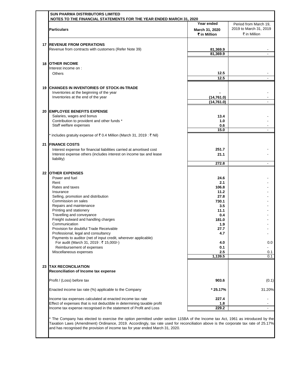|                                                                                                                                              | Year ended                     | Period from March 19,                  |
|----------------------------------------------------------------------------------------------------------------------------------------------|--------------------------------|----------------------------------------|
| Particulars                                                                                                                                  | March 31, 2020<br>₹ in Million | 2019 to March 31, 2019<br>₹ in Million |
| <b>17 REVENUE FROM OPERATIONS</b>                                                                                                            |                                |                                        |
| Revenue from contracts with customers (Refer Note 39)                                                                                        | 81,369.9                       |                                        |
|                                                                                                                                              | 81,369.9                       |                                        |
| <b>18 OTHER INCOME</b>                                                                                                                       |                                |                                        |
| Interest income on :                                                                                                                         |                                |                                        |
| <b>Others</b>                                                                                                                                | 12.5                           |                                        |
|                                                                                                                                              | 12.5                           |                                        |
| <b>CHANGES IN INVENTORIES OF STOCK-IN-TRADE</b>                                                                                              |                                |                                        |
| Inventories at the beginning of the year                                                                                                     |                                |                                        |
| Inventories at the end of the year                                                                                                           | (14, 761.0)                    |                                        |
|                                                                                                                                              | (14, 761.0)                    |                                        |
|                                                                                                                                              |                                |                                        |
| <b>EMPLOYEE BENEFITS EXPENSE</b><br>Salaries, wages and bonus                                                                                | 13.4                           |                                        |
| Contribution to provident and other funds *                                                                                                  | 1.0                            |                                        |
| Staff welfare expenses                                                                                                                       | 0.6                            |                                        |
|                                                                                                                                              | 15.0                           |                                        |
| includes gratuity expense of ₹0.4 Million (March 31, 2019 : ₹ Nil)                                                                           |                                |                                        |
| 21 FINANCE COSTS                                                                                                                             |                                |                                        |
| Interest expense for financial liabilities carried at amortised cost                                                                         | 251.7                          |                                        |
| Interest expense others (includes interest on income tax and lease                                                                           | 21.1                           |                                        |
| liability)                                                                                                                                   |                                |                                        |
|                                                                                                                                              | 272.8                          |                                        |
| <b>IOTHER EXPENSES</b>                                                                                                                       |                                |                                        |
| Power and fuel                                                                                                                               | 24.6                           |                                        |
| Rent                                                                                                                                         | 2.1                            |                                        |
| Rates and taxes                                                                                                                              | 106.8                          |                                        |
| Insurance                                                                                                                                    | 11.2                           |                                        |
| Selling, promotion and distribution                                                                                                          | 27.8                           |                                        |
| Commission on sales                                                                                                                          | 730.1                          |                                        |
| Repairs and maintenance                                                                                                                      | 3.5                            |                                        |
| Printing and stationery                                                                                                                      | 11.1                           |                                        |
| Travelling and conveyance                                                                                                                    | 0.4                            |                                        |
| Freight outward and handling charges                                                                                                         | 181.0                          |                                        |
| Communication<br>Provision for doubtful Trade Receivable                                                                                     | 1.9<br>27.7                    |                                        |
| Professional, legal and consultancy                                                                                                          | 4.7                            |                                        |
| Payments to auditor (net of input credit, wherever applicable)                                                                               |                                |                                        |
| For audit (March 31, 2019 : ₹ 15,000/-)                                                                                                      | 4.0                            |                                        |
| Reimbursement of expenses                                                                                                                    | 0.1                            |                                        |
| Miscellaneous expenses                                                                                                                       | 2.5                            |                                        |
|                                                                                                                                              | 1,139.5                        |                                        |
|                                                                                                                                              |                                |                                        |
| <b>TAX RECONCILIATION</b><br>Reconciliation of Income tax expense                                                                            |                                |                                        |
| Profit / (Loss) before tax                                                                                                                   | 903.6                          |                                        |
| Enacted income tax rate (%) applicable to the Company                                                                                        | * 25.17%                       | 31.20%                                 |
|                                                                                                                                              |                                |                                        |
| Income tax expenses calculated at enacted income tax rate                                                                                    | 227.4                          |                                        |
| Effect of expenses that is not deductible in determining taxable profit<br>Income tax expense recognised in the statement of Profit and Loss | 1.8<br>229.2                   |                                        |
|                                                                                                                                              |                                |                                        |

Taxation Laws (Amendment) Ordinance, 2019. Accordingly, tax rate used for reconciliation above is the corporate tax rate of 25.17% and has recognised the provision of income tax for year ended March 31, 2020.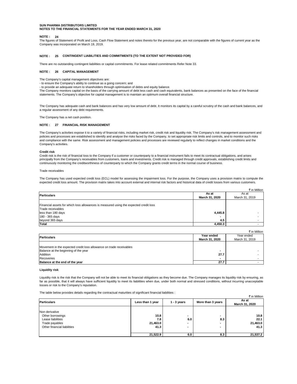**NOTE : 24**

The figures of Statement of Profit and Loss, Cash Flow Statement and notes thereto for the previous year, are not comparable with the figures of current year as the Company was incorporated on March 19, 2019.

#### **NOTE : 25 CONTINGENT LIABILITIES AND COMMITMENTS (TO THE EXTENT NOT PROVIDED FOR)**

There are no outstanding contingent liabilities or capital commitments. For lease related commitments Refer Note 33.

#### **NOTE : 26 CAPITAL MANAGEMENT**

The Company's capital management objectives are:

- to ensure the Company's ability to continue as a going concern; and

- to provide an adequate return to shareholders through optimisation of debts and equity balance.

The Company monitors capital on the basis of the carrying amount of debt less cash and cash equivalents, bank balances as presented on the face of the financial statements. The Company's objective for capital management is to maintain an optimum overall financial structure.

The Company has adequate cash and bank balances and has very low amount of debt. It monitors its capital by a careful scrutiny of the cash and bank balances, and a regular assessment of any debt requirements.

The Company has a net cash position.

#### **NOTE : 27 FINANCIAL RISK MANAGEMENT**

The Company's activities expose it to a variety of financial risks, including market risk, credit risk and liquidity risk. The Company's risk management assessment and policies and processes are established to identify and analyse the risks faced by the Company, to set appropriate risk limits and controls, and to monitor such risks and compliance with the same. Risk assessment and management policies and processes are reviewed regularly to reflect changes in market conditions and the Company's activities.

#### **Credit risk**

Credit risk is the risk of financial loss to the Company if a customer or counterparty to a financial instrument fails to meet its contractual obligations, and arises principally from the Company's receivables from customers, loans and investments. Credit risk is managed through credit approvals, establishing credit limits and continuously monitoring the creditworthiness of counterparty to which the Company grants credit terms in the normal course of business.

#### Trade receivables

The Company has used expected credit loss (ECL) model for assessing the impairment loss. For the purpose, the Company uses a provision matrix to compute the expected credit loss amount. The provision matrix takes into account external and internal risk factors and historical data of credit losses from various customers.

|                                                                                       |                          | ₹ in Million   |
|---------------------------------------------------------------------------------------|--------------------------|----------------|
| <b>Particulars</b>                                                                    | As at                    | As at          |
|                                                                                       | March 31, 2020           | March 31, 2019 |
|                                                                                       |                          |                |
| Financial assets for which loss allowances is measured using the expected credit loss |                          |                |
| Trade receivables                                                                     |                          |                |
| less than 180 days                                                                    | 4,445.8                  |                |
| 180 - 365 days                                                                        | $\overline{\phantom{a}}$ |                |
| beyond 365 days                                                                       | 4.5                      |                |
| <b>Total</b>                                                                          | 4,450.3                  |                |

|                                                                     |                | ₹ in Million   |
|---------------------------------------------------------------------|----------------|----------------|
| <b>Particulars</b>                                                  | Year ended     | Year ended     |
|                                                                     | March 31, 2020 | March 31, 2019 |
|                                                                     |                |                |
| Movement in the expected credit loss allowance on trade receivables |                |                |
| Balance at the beginning of the year                                | -              |                |
| Addition                                                            | 27.7           |                |
| Recoveries                                                          | ۰              |                |
| Balance at the end of the year                                      | 27.7           |                |

#### **Liquidity risk**

Liquidity risk is the risk that the Company will not be able to meet its financial obligations as they become due. The Company manages its liquidity risk by ensuring, as far as possible, that it will always have sufficient liquidity to meet its liabilities when due, under both normal and stressed conditions, without incurring unacceptable losses or risk to the Company's reputation.

 $\sim$  in Million

The table below provides details regarding the contractual maturities of significant financial liabilities :

| <b>Particulars</b>                                                                                       | Less than 1 year                | $1 - 3$ years                             | More than 3 years | As at<br>March 31, 2020          |
|----------------------------------------------------------------------------------------------------------|---------------------------------|-------------------------------------------|-------------------|----------------------------------|
| Non derivative<br>Other borrowings<br>Lease liabilities<br>Trade payables<br>Other financial liabilities | 10.8<br>7.8<br>21,463.0<br>41.3 | -<br>6.0<br>-<br>$\overline{\phantom{a}}$ | 8.3<br>۰<br>۰     | 10.8<br>22.1<br>21,463.0<br>41.3 |
|                                                                                                          | 21.522.9                        | 6.0                                       | 8.3               | 21,537.2                         |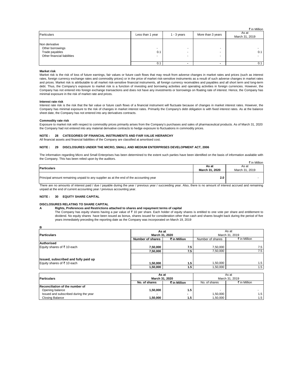|                                                                                     |                           |               |                   | ₹ in Million            |
|-------------------------------------------------------------------------------------|---------------------------|---------------|-------------------|-------------------------|
| Particulars                                                                         | Less than 1 year          | $1 - 3$ years | More than 3 years | As at<br>March 31, 2019 |
| Non derivative<br>Other borrowings<br>Trade payables<br>Other financial liabilities | -<br>0.1<br>$\sim$<br>0.1 | -<br>-<br>-   | -<br>۰<br>۰       | 0.1<br>0.1              |

#### **Market risk**

Market risk is the risk of loss of future earnings, fair values or future cash flows that may result from adverse changes in market rates and prices (such as interest rates, foreign currency exchange rates and commodity prices) or in the price of market risk-sensitive instruments as a result of such adverse changes in market rates and prices. Market risk is attributable to all market risk-sensitive financial instruments, all foreign currency receivables and payables and all short term and long-term debt. Thus, the Company's exposure to market risk is a function of investing and borrowing activities and operating activities in foreign currencies. However, the Company has not entered into foreign exchange transactions and does not have any investments or borrowings on floating rate of interest. Hence, the Company has minimal exposure in the risk of market rate and prices.

#### **Interest rate risk**

Interest rate risk is the risk that the fair value or future cash flows of a financial instrument will fluctuate because of changes in market interest rates. However, the Company has minimal exposure to the risk of changes in market interest rates. Primarily the Company's debt obligation is with fixed interest rates. As at the balance sheet date, the Company has not entered into any derivatives contracts.

#### **Commodity rate risk**

**B**

Exposure to market risk with respect to commodity prices primarily arises from the Company's purchases and sales of pharmaceutical products. As of March 31, 2020 the Company had not entered into any material derivative contracts to hedge exposure to fluctuations in commodity prices.

#### **NOTE : 28 CATEGORIES OF FINANCIAL INSTRUMENTS AND FAIR VALUE HIERARCHY**

All financial assets and financial liabilities of the Company are classified at amortised cost.

#### **NOTE : 29 DISCLOSURES UNDER THE MICRO, SMALL AND MEDIUM ENTERPRISES DEVELOPMENT ACT, 2006**

 $\overline{\mathbf{F}}$  in Million The information regarding Micro and Small Enterprises has been determined to the extent such parties have been identified on the basis of information available with the Company. This has been relied upon by the auditors.

| <b>Particulars</b>                                                                     | As at          | As at          |
|----------------------------------------------------------------------------------------|----------------|----------------|
|                                                                                        | March 31, 2020 | March 31, 2019 |
| Principal amount remaining unpaid to any supplier as at the end of the accounting year | 2.0            |                |

There are no amounts of interest paid / due / payable during the year / previous year / succeeding year. Also, there is no amount of interest accrued and remaining unpaid at the end of current accounting year / previous accounting year.

#### **NOTE : 30 EQUITY SHARE CAPITAL**

#### **DISCLOSURES RELATING TO SHARE CAPITAL**

#### **A Rights, Preferences and Restrictions attached to shares and repayment terms of capital**

The Company has equity shares having a par value of  $\bar{\tau}$  10 per share. Each holder of equity shares is entitled to one vote per share and entitlement to dividend. No equity shares have been issued as bonus, shares issued for consideration other than cash and shares bought back during the period of five years immediately preceding the reporting date as the Company was incorporated on March 19, 2019

|                                                                   |                  | As at<br>March 31, 2020 |                  | As at          |  |
|-------------------------------------------------------------------|------------------|-------------------------|------------------|----------------|--|
| <b>Particulars</b>                                                |                  |                         |                  | March 31, 2019 |  |
|                                                                   | Number of shares | ₹ in Million            | Number of shares | ₹ in Million   |  |
| Authorised                                                        |                  |                         |                  |                |  |
| Equity shares of ₹10 each                                         | 7,50,000         | 7.5                     | 7,50,000         | 7.5            |  |
|                                                                   | 7,50,000         | 7.5                     | 7,50,000         | 7.5            |  |
| Issued, subscribed and fully paid up<br>Equity shares of ₹10 each | 1.50.000         | 1.5                     | 1,50,000         | 1.5            |  |
|                                                                   | 1,50,000         | 1.5                     | 1,50,000         | 1.5            |  |

|                                       | As at<br>March 31, 2020 |              | As at         |                |
|---------------------------------------|-------------------------|--------------|---------------|----------------|
| <b>Particulars</b>                    |                         |              |               | March 31, 2019 |
|                                       | No. of shares           | ₹ in Million | No. of shares | ₹ in Million   |
| Reconciliation of the number of       |                         |              |               |                |
| Opening balance                       | 1,50,000                | 1.5          | -             |                |
| Issued and subscribed during the year |                         | -            | 1,50,000      | 1.5            |
| Closing Balance                       | 1,50,000                | 1.5          | 1.50.000      | 1.5            |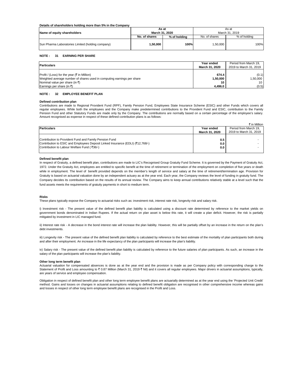#### **Details of shareholders holding more than 5% in the Company**

|                                                   | As at          |              | As at          |              |
|---------------------------------------------------|----------------|--------------|----------------|--------------|
| Name of equity shareholders                       | March 31, 2020 |              | March 31, 2019 |              |
|                                                   | No. of shares  | % of holding | No. of shares  | % of holding |
| Sun Pharma Laboratories Limited (holding company) | .50.000        | 100%         | 1,50,000       | 100%         |

#### **NOTE : 31 EARNING PER SHARE**

| <b>Particulars</b>                                                     | Year ended<br>March 31, 2020 | Period from March 19.<br>2019 to March 31, 2019 |
|------------------------------------------------------------------------|------------------------------|-------------------------------------------------|
| <b>Profit / (Loss) for the year (₹ in Million)</b>                     | 674.4                        | (0.1)                                           |
| Weighted average number of shares used in computing earnings per share | 1,50,000                     | .50.000                                         |
| Nominal value per share (in ₹)                                         | 10                           | 10 <sup>1</sup>                                 |
| Earnings per share (in $\bar{x}$ )                                     | 4.496.0                      | (0.5)                                           |

#### **NOTE : 32 EMPLOYEE BENEFIT PLAN**

#### **Defined contribution plan**

Contributions are made to Regional Provident Fund (RPF), Family Pension Fund, Employees State Insurance Scheme (ESIC) and other Funds which covers all regular employees. While both the employees and the Company make predetermined contributions to the Provident Fund and ESIC, contribution to the Family Pension Fund and other Statutory Funds are made only by the Company. The contributions are normally based on a certain percentage of the employee's salary.<br>Amount recognised as expense in respect of these defined contribut

|                                                                                                                                                                                         |                   | ₹ in Million           |
|-----------------------------------------------------------------------------------------------------------------------------------------------------------------------------------------|-------------------|------------------------|
| <b>Particulars</b>                                                                                                                                                                      | Year ended        | Period from March 19.  |
|                                                                                                                                                                                         | March 31, 2020    | 2019 to March 31, 2019 |
| Contribution to Provident Fund and Family Pension Fund<br>Contribution to ESIC and Employees Deposit Linked Insurance (EDLI) (₹12,768/-)<br>Contribution to Labour Welfare Fund (₹36/-) | 0.5<br>0.0<br>0.0 |                        |

#### **Defined benefit plan**

In respect of Gratuity, a defined benefit plan, contributions are made to LIC's Recognised Group Gratuity Fund Scheme. It is governed by the Payment of Gratuity Act, 1972. Under the Gratuity Act, employees are entitled to specific benefit at the time of retirement or termination of the employment on completion of five years or death while in employment. The level of benefit provided depends on the member's length of service and salary at the time of retirement/termination age. Provision for Gratuity is based on actuarial valuation done by an independent actuary as at the year end. Each year, the Company reviews the level of funding in gratuity fund. The Company decides its contribution based on the results of its annual review. The Company aims to keep annual contributions relatively stable at a level such that the fund assets meets the requirements of gratuity payments in short to medium term.

#### **Risks**

These plans typically expose the Company to actuarial risks such as: investment risk, interest rate risk, longevity risk and salary risk.

i) Investment risk - The present value of the defined benefit plan liability is calculated using a discount rate determined by reference to the market yields on government bonds denominated in Indian Rupees. If the actual return on plan asset is below this rate, it will create a plan deficit. However, the risk is partially mitigated by investment in LIC managed fund.

ii) Interest rate risk - A decrease in the bond interest rate will increase the plan liability. However, this will be partially offset by an increase in the return on the plan's debt investments.

iii) Longevity risk - The present value of the defined benefit plan liability is calculated by reference to the best estimate of the mortality of plan participants both during and after their employment. An increase in the life expectancy of the plan participants will increase the plan's liability.

iv) Salary risk - The present value of the defined benefit plan liability is calculated by reference to the future salaries of plan participants. As such, an increase in the salary of the plan participants will increase the plan's liability.

#### **Other long term benefit plan**

Actuarial valuation for compensated absences is done as at the year end and the provision is made as per Company policy with corresponding charge to the Statement of Profit and Loss amounting to ₹ 0.87 Million (March 31, 2019 ₹ Nil) and it covers all regular employees. Major drivers in actuarial assumptions, typically, are years of service and employee compensation.

Obligation in respect of defined benefit plan and other long term employee benefit plans are actuarially determined as at the year end using the 'Projected Unit Credit' method. Gains and losses on changes in actuarial assumptions relating to defined benefit obligation are recognised in other comprehensive income whereas gains and losses in respect of other long term employee benefit plans are recognised in the Profit and Loss.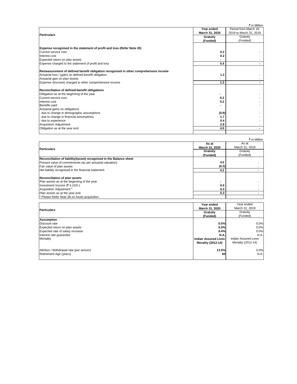|                                                                                      | Year ended     | Period from March 19.  |
|--------------------------------------------------------------------------------------|----------------|------------------------|
| <b>Particulars</b>                                                                   | March 31, 2020 | 2019 to March 31, 2019 |
|                                                                                      | Gratuity       | Gratuity               |
|                                                                                      | (Funded)       | (Funded)               |
| Expense recognised in the statement of profit and loss (Refer Note 20)               |                |                        |
| Current service cost                                                                 | 0.2            |                        |
| Interest cost                                                                        | 0.2            |                        |
| Expected return on plan assets                                                       |                |                        |
| Expense charged to the statement of profit and loss                                  | 0.4            |                        |
| Remeasurement of defined benefit obligation recognised in other comprehensive income |                |                        |
| Actuarial loss / (gain) on defined benefit obligation                                | 1.3            |                        |
| Actuarial gain on plan assets                                                        |                |                        |
| Expense /(Income) charged to other comprehensive income                              | 1.3            |                        |
| Reconciliation of defined-benefit obligations                                        |                |                        |
| Obligation as at the beginning of the year                                           | ٠              |                        |
| Current service cost                                                                 | 0.2            |                        |
| Interest cost                                                                        | 0.2            |                        |
| <b>Benefits</b> paid                                                                 |                |                        |
| Actuarial gains on obligations                                                       |                |                        |
| - due to change in demographic assumptions                                           | (0.8)          |                        |
| - due to change in financial assumptions                                             | 1.7            |                        |
| - due to experience                                                                  | 0.4            |                        |
| <b>Acquisition Adjustment</b>                                                        | 2.8            |                        |
| Obligation as at the year end                                                        | 4.5            |                        |

|                                                                     |                          | ₹ in Million   |
|---------------------------------------------------------------------|--------------------------|----------------|
|                                                                     | As at                    | As at          |
| <b>Particulars</b>                                                  | March 31, 2020           | March 31, 2019 |
|                                                                     | Gratuity                 | Gratuity       |
|                                                                     | (Funded)                 | (Funded)       |
| Reconciliation of liability/(asset) recognised in the Balance sheet |                          |                |
| Present value of commitments (as per actuarial valuation)           | 4.5                      |                |
| Fair value of plan assets                                           | (0.3)                    |                |
| Net liability recognised in the financial statement                 | 4.2                      |                |
|                                                                     |                          |                |
| Reconciliation of plan assets                                       |                          |                |
| Plan assets as at the beginning of the year                         | $\overline{\phantom{0}}$ |                |
| Investment Income (₹ 4,153/-)                                       | 0.0                      |                |
| Acquisition Adjustment *                                            | 0.3                      |                |
| Plan assets as at the year end                                      | 0.3                      |                |
| * Please Refer Note 38 on Asset acquisition                         |                          |                |

|                                         | Year ended                  | Year ended           |
|-----------------------------------------|-----------------------------|----------------------|
| <b>Particulars</b>                      | March 31, 2020              | March 31, 2019       |
|                                         | Gratuity                    | Gratuity             |
|                                         | (Funded)                    | (Funded)             |
| <b>Assumption</b>                       |                             |                      |
| Discount rate                           | 6.5%                        | 0.0%                 |
| Expected return on plan assets          | 6.5%                        | 0.0%                 |
| Expected rate of salary increase        | 9.4%                        | 0.0%                 |
| Interest rate quarantee                 | <b>N.A.</b>                 | N.A.                 |
| Mortality                               | <b>Indian Assured Lives</b> | Indian Assured Lives |
|                                         | <b>Morality (2012-14)</b>   | Morality (2012-14)   |
| Attrition / Withdrawal rate (per annum) | 13.5%                       | 0.0%                 |
| Retirement Age (years)                  | 60                          | N.A.                 |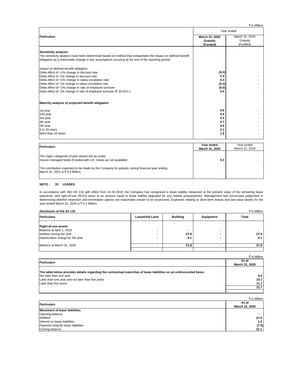| <b>Particulars</b><br>Sensitivity analysis:                                                                                                                                                                        | Year ended<br>March 31, 2020<br>Gratuity<br>(Funded) | March 31, 2019<br>Gratuity |
|--------------------------------------------------------------------------------------------------------------------------------------------------------------------------------------------------------------------|------------------------------------------------------|----------------------------|
|                                                                                                                                                                                                                    |                                                      |                            |
|                                                                                                                                                                                                                    |                                                      | (Funded)                   |
|                                                                                                                                                                                                                    |                                                      |                            |
| The sensitivity analysis have been determined based on method that extrapolates the impact on defined benefit<br>obligation as a reasonable change in key assumptions occuring at the end of the reporting period. |                                                      |                            |
| Impact on defined benefit obligation                                                                                                                                                                               |                                                      |                            |
| Delta effect of +1% change in discount rate                                                                                                                                                                        | (0.2)                                                |                            |
| Delta effect of -1% change in discount rate                                                                                                                                                                        | 0.3                                                  |                            |
| Delta effect of +1% change in salary escalation rate                                                                                                                                                               | 0.3                                                  |                            |
| Delta effect of -1% change in salary escalation rate                                                                                                                                                               | (0.2)                                                |                            |
| Delta effect of +1% change in rate of employee turnover                                                                                                                                                            | (0.0)                                                |                            |
| Delta effect of -1% change in rate of employee turnover (₹ 35,637/-)                                                                                                                                               | 0.0                                                  |                            |
| Maturity analysis of projected benefit obligation                                                                                                                                                                  |                                                      |                            |
| 1st year                                                                                                                                                                                                           | 0.6                                                  |                            |
| 2nd year                                                                                                                                                                                                           | 0.5                                                  |                            |
| 3rd year                                                                                                                                                                                                           | 0.5                                                  |                            |
| 4th year                                                                                                                                                                                                           | 0.7                                                  |                            |
| 5th year                                                                                                                                                                                                           | 0.6                                                  |                            |
| 6 to 10 years                                                                                                                                                                                                      | 2.1                                                  |                            |
| More than 10 years                                                                                                                                                                                                 | 1.9                                                  |                            |

| <b>Particulars</b>                                                                                                                                                                                                                                      | Year ended<br>March 31, 2020 | Year ended<br>March 31, 2019 |
|---------------------------------------------------------------------------------------------------------------------------------------------------------------------------------------------------------------------------------------------------------|------------------------------|------------------------------|
| The major categories of plan assets are as under<br>Insurer managed funds (Funded with LIC, break-up not available)<br>The contribution expected to be made by the Company for gratuity, during financial year ending<br>March 31, 2021 is ₹4.5 Million | 0.3                          |                              |

#### **NOTE : 33 LEASES**

L

In accordance with IND AS 116 with effect from 01.04.2019, the Company has recognised a lease liability measured at the present value of the remaining lease payments, and right-of-use (ROU) asset at an amount equal to lease liability (adjusted for any related prepayments). Management has excercised judgement in<br>determining whether extension and termination options are reasonab year ended March 31, 2020 is  $\overline{\epsilon}$  2.1 Million.

| Disclosure of Ind AS 116                                                                                               |                       |                 | ₹ in Million |             |
|------------------------------------------------------------------------------------------------------------------------|-----------------------|-----------------|--------------|-------------|
| <b>Particulars</b>                                                                                                     | <b>Leasehold Land</b> | <b>Building</b> | Equipment    | Total       |
| <b>Right-of-use assets</b><br>Balance at April 1, 2019<br>Addition during the year<br>Depreciation charge for the year |                       | 27.9<br>6.1     |              | 27.9<br>6.1 |
| Balance at March 31, 2020                                                                                              |                       | 21.8            |              | 21.8        |

|                                                                                                                      | ₹ in Million   |
|----------------------------------------------------------------------------------------------------------------------|----------------|
| <b>Particulars</b>                                                                                                   | As at          |
|                                                                                                                      | March 31, 2020 |
|                                                                                                                      |                |
| The table below provides details regarding the contractual maturities of lease liabilities on an undiscounted basis: |                |
| Not later than one year                                                                                              | 9.3            |
| Later than one year and not later than five years                                                                    | 10.7           |
| Later than five years                                                                                                | 11.7           |
|                                                                                                                      | 31.7           |
|                                                                                                                      |                |

|                                   | ₹ in Million   |
|-----------------------------------|----------------|
| <b>Particulars</b>                | As at          |
|                                   | March 31, 2020 |
| Movement of lease liabilities     |                |
| Opening balance                   |                |
| Addition                          | 27.9           |
| Interest on lease liabilities     | 1.5            |
| Payment towards lease liabilities | (7.3)          |
| Closing balance                   | 22.1           |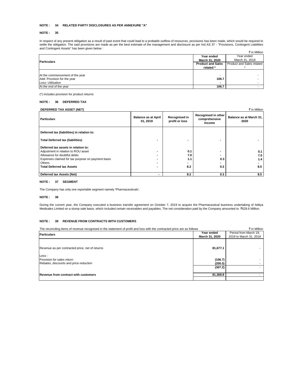#### **NOTE : 34 RELATED PARTY DISCLOSURES AS PER ANNEXURE "A"**

#### **NOTE : 35**

₹ in Million In respect of any present obligation as a result of past event that could lead to a probable outflow of resources, provisions has been made, which would be required to settle the obligation. The said provisions are made as per the best estimate of the management and disclosure as per Ind AS 37 - "Provisions, Contingent Liabilities and Contingent Assets" has been given below :

|                                 |                          | K in Million              |
|---------------------------------|--------------------------|---------------------------|
|                                 | Year ended               | Year ended                |
| <b>Particulars</b>              | March 31, 2020           | March 31, 2019            |
|                                 | <b>Product and Sales</b> | Product and Sales related |
|                                 | related *                |                           |
|                                 |                          |                           |
| At the commencement of the year |                          |                           |
| Add: Provision for the year     | 106.7                    |                           |
| Less: Utilisation               | -                        |                           |
| At the end of the year          | 106.7                    |                           |

(\*) includes provision for product returns

#### **NOTE : 36 DEFERRED TAX**

| DEFERRED TAX ASSET (NET)                          |                                        |                                 |                                                | ₹ in Million                    |
|---------------------------------------------------|----------------------------------------|---------------------------------|------------------------------------------------|---------------------------------|
| <b>Particulars</b>                                | <b>Balance as at April</b><br>01, 2019 | Recognised in<br>profit or loss | Recognised in other<br>comprehensive<br>Income | Balance as at March 31,<br>2020 |
| Deferred tax (liabilities) in relation to:        |                                        |                                 |                                                |                                 |
| <b>Total Deferred tax (liabilities)</b>           |                                        |                                 |                                                |                                 |
| Deferred tax assets in relation to:               |                                        |                                 |                                                |                                 |
| Adjustment in relation to ROU asset               |                                        | 0.1                             | $\overline{\phantom{0}}$                       | 0.1                             |
| Allowance for doubtful debts                      |                                        | 7.0                             |                                                | 7.0                             |
| Expenses claimed for tax purpose on payment basis |                                        | 1.1                             | 0.3                                            | 1.4                             |
| Others                                            |                                        |                                 | $\overline{\phantom{0}}$                       |                                 |
| <b>Total Deferred tax Assets</b>                  |                                        | 8.2                             | 0.3                                            | 8.5                             |
| Deferred tax Assets (Net)                         |                                        | 8.2                             | 0.3                                            | 8.5                             |

#### **NOTE : 37 SEGMENT**

The Company has only one reportable segment namely 'Pharmaceuticals'.

#### **NOTE : 38**

During the current year, the Company executed a business transfer agreement on October 7, 2019 to acquire the Pharmaceutical business undertaking of Aditya Medisales Limited on a slump sale basis, which included certain receivables and payables. The net consideration paid by the Company amounted to `629.6 Million.

#### **NOTE : 39 REVENUE FROM CONTRACTS WITH CUSTOMERS**

| The reconciling items of revenue recognised in the statement of profit and loss with the contracted price are as follows |                | ₹ in Million           |
|--------------------------------------------------------------------------------------------------------------------------|----------------|------------------------|
|                                                                                                                          | Year ended     | Period from March 19.  |
| <b>Particulars</b>                                                                                                       | March 31, 2020 | 2019 to March 31, 2019 |
| Revenue as per contracted price, net of returns<br>Less:                                                                 | 81,677.1       |                        |
| Provision for sales return                                                                                               | (106.7)        |                        |
| Rebates, discounts and price reduction                                                                                   | (200.5)        |                        |
|                                                                                                                          | (307.2)        |                        |
| Revenue from contract with customers                                                                                     | 81,369.9       |                        |
|                                                                                                                          |                |                        |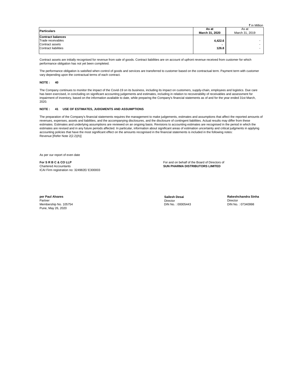|                          |                | ₹ in Million   |
|--------------------------|----------------|----------------|
| <b>Particulars</b>       | As at          | As at          |
|                          | March 31, 2020 | March 31, 2019 |
| <b>Contract balances</b> |                |                |
| Trade receivables        | 4,422.6        |                |
| Contract assets          |                |                |
| Contract liabilities     | 126.8          |                |
|                          |                |                |

Contract assets are initially recognised for revenue from sale of goods. Contract liabilities are on account of upfront revenue received from customer for which performance obligation has not yet been completed.

The performance obligation is satisfied when control of goods and services are transferred to customer based on the contractual term. Payment term with customer vary depending upon the contractual terms of each contract.

#### **NOTE : 40**

The Company continues to monitor the impact of the Covid-19 on its business, including its impact on customers, supply-chain, employees and logistics. Due care<br>has been exercised, in concluding on significant accounting ju impairment of inventory, based on the information available to date, while preparing the Company's financial statements as of and for the year ended 31st March, 2020.

#### **NOTE : 41 USE OF ESTIMATES, JUDGMENTS AND ASSUMPTIONS**

The preparation of the Company's financial statements requires the management to make judgements, estimates and assumptions that affect the reported amounts of revenues, expenses, assets and liabilities, and the accompanying disclosures, and the disclosure of contingent liabilities. Actual results may differ from these estimates. Estimates and underlying assumptions are reviewed on an ongoing basis. Revisions to accounting estimates are recognised in the period in which the estimates are revised and in any future periods affected. In particular, information about significant areas of estimation uncertainty and critical judgments in applying accounting policies that have the most significant effect on the amounts recognised in the financial statements is included in the following notes: Revenue [Refer Note 2(2.2)(h)]

As per our report of even date

ICAI Firm registration no: 324982E/ E300003

**For S R B C & CO LLP**<br> **For S R B C & CO LLP**<br> **SUN PHARMA DISTRIBUTORS LIMITED SUN PHARMA DISTRIBUTORS LIMITED** 

Membership No. 105754 Pune, May 26, 2020

Director<br>
DIN No.: 00005443<br>
DIN No.: 07340998

**per Paul Alvares Sailesh Desai Rakeshchandra Sinha**